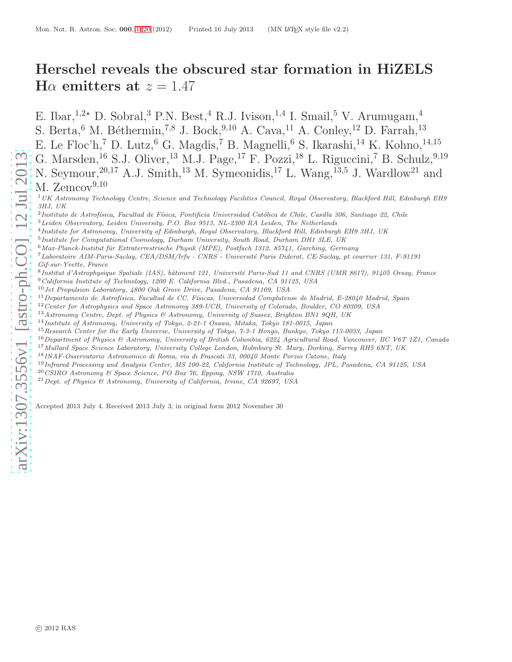# <span id="page-0-1"></span>Herschel reveals the obscured star formation in HiZELS H $\alpha$  emitters at  $z = 1.47$

E. Ibar,<sup>1,2\*</sup> D. Sobral,<sup>3</sup> P.N. Best,<sup>4</sup> R.J. Ivison,<sup>1,4</sup> I. Smail,<sup>5</sup> V. Arumugam,<sup>4</sup> S. Berta, <sup>6</sup> M. Béthermin,<sup>7,8</sup> J. Bock,<sup>9,10</sup> A. Cava,<sup>11</sup> A. Conley,<sup>12</sup> D. Farrah,<sup>13</sup> E. Le Floc'h, <sup>7</sup> D. Lutz, <sup>6</sup> G. Magdis, <sup>7</sup> B. Magnelli, <sup>6</sup> S. Ikarashi, <sup>14</sup> K. Kohno, <sup>14, 15</sup> G. Marsden,<sup>16</sup> S.J. Oliver,<sup>13</sup> M.J. Page,<sup>17</sup> F. Pozzi,<sup>18</sup> L. Riguccini,<sup>7</sup> B. Schulz,<sup>9,19</sup> N. Seymour,<sup>20,17</sup> A.J. Smith,<sup>13</sup> M. Symeonidis,<sup>17</sup> L. Wang,<sup>13,5</sup> J. Wardlow<sup>21</sup> and M.  $Zemcov<sup>9,10</sup>$ 

<sup>1</sup> UK Astronomy Technology Centre, Science and Technology Facilities Council, Royal Observatory, Blackford Hill, Edinburgh EH9 3HJ, UK

<sup>2</sup> Instituto de Astrofísica, Facultad de Física, Pontificia Universidad Católica de Chile, Casilla 306, Santiago 22, Chile

<sup>3</sup>Leiden Observatory, Leiden University, P.O. Box 9513, NL-2300 RA Leiden, The Netherlands

- 4 Institute for Astronomy, University of Edinburgh, Royal Observatory, Blackford Hill, Edinburgh EH9 3HJ, UK
- <sup>5</sup> Institute for Computational Cosmology, Durham University, South Road, Durham DH1 3LE, UK
- $6$ Max-Planck-Institut für Extraterrestrische Physik (MPE), Postfach 1312, 85741, Garching, Germany
- <sup>7</sup>Laboratoire AIM-Paris-Saclay, CEA/DSM/Irfu CNRS Université Paris Diderot, CE-Saclay, pt courrier 131, F-91191 Gif-sur-Yvette, France
- 8 Institut d'Astrophysique Spatiale (IAS), bâtiment 121, Université Paris-Sud 11 and CNRS (UMR 8617), 91405 Orsay, France <sup>9</sup>California Institute of Technology, 1200 E. California Blvd., Pasadena, CA 91125, USA
- $10$  Jet Propulsion Laboratory, 4800 Oak Grove Drive, Pasadena, CA 91109, USA
- $11$ Departamento de Astrofísica, Facultad de CC. Físicas, Universidad Complutense de Madrid, E-28040 Madrid, Spain
- $12$  Center for Astrophysics and Space Astronomy 389-UCB, University of Colorado, Boulder, CO 80309, USA
- $^{13}$ Astronomy Centre, Dept. of Physics & Astronomy, University of Sussex, Brighton BN1 9QH, UK
- <sup>14</sup>Institute of Astronomy, University of Tokyo, 2-21-1 Osawa, Mitaka, Tokyo 181-0015, Japan
- <sup>15</sup>Research Center for the Early Universe, University of Tokyo, 7-3-1 Hongo, Bunkyo, Tokyo 113-0033, Japan
- <sup>16</sup>Department of Physics & Astronomy, University of British Columbia, 6224 Agricultural Road, Vancouver, BC V6T 1Z1, Canada
- <sup>17</sup> Mullard Space Science Laboratory, University College London, Holmbury St. Mary, Dorking, Surrey RH5 6NT, UK
- <sup>18</sup>INAF-Osservatorio Astronomico di Roma, via di Frascati 33, 00040 Monte Porzio Catone, Italy
- <sup>19</sup>Infrared Processing and Analysis Center, MS 100-22, California Institute of Technology, JPL, Pasadena, CA 91125, USA
- <sup>20</sup>CSIRO Astronomy & Space Science, PO Box 76, Epping, NSW 1710, Australia
- $^{21}$  Dept. of Physics & Astronomy, University of California, Irvine, CA 92697, USA

<span id="page-0-0"></span>Accepted 2013 July 4. Received 2013 July 3; in original form 2012 November 30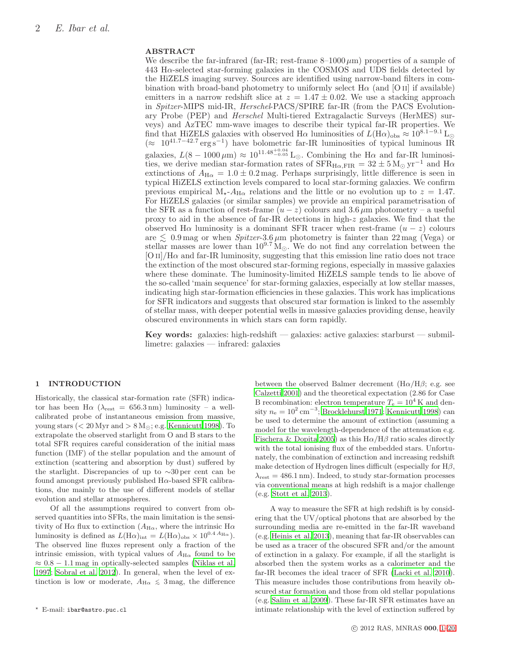# ABSTRACT

We describe the far-infrared (far-IR; rest-frame  $8-1000 \,\mu m$ ) properties of a sample of  $443$  H $\alpha$ -selected star-forming galaxies in the COSMOS and UDS fields detected by the HiZELS imaging survey. Sources are identified using narrow-band filters in combination with broad-band photometry to uniformly select  $H\alpha$  (and [O ii] if available) emitters in a narrow redshift slice at  $z = 1.47 \pm 0.02$ . We use a stacking approach in Spitzer-MIPS mid-IR, Herschel-PACS/SPIRE far-IR (from the PACS Evolutionary Probe (PEP) and Herschel Multi-tiered Extragalactic Surveys (HerMES) surveys) and AzTEC mm-wave images to describe their typical far-IR properties. We find that HiZELS galaxies with observed H $\alpha$  luminosities of  $L(\text{H}\alpha)_{\text{obs}} \approx 10^{8.1-9.1}$  L<sub>⊙</sub>  $(≈ 10<sup>41.7-42.7</sup> erg s<sup>-1</sup>)$  have bolometric far-IR luminosities of typical luminous IR galaxies,  $L(8-1000 \,\mu\text{m}) \approx 10^{11.48_{-0.05}^{+0.04}} \text{L}_{\odot}$ . Combining the H $\alpha$  and far-IR luminosities, we derive median star-formation rates of  $SFR_{H\alpha,FIR} = 32 \pm 5$  M<sub>☉</sub> yr<sup>-1</sup> and H $\alpha$ extinctions of  $A_{H\alpha} = 1.0 \pm 0.2$  mag. Perhaps surprisingly, little difference is seen in typical HiZELS extinction levels compared to local star-forming galaxies. We confirm previous empirical  $M_{\star}$ - $A_{H\alpha}$  relations and the little or no evolution up to  $z = 1.47$ . For HiZELS galaxies (or similar samples) we provide an empirical parametrisation of the SFR as a function of rest-frame  $(u-z)$  colours and 3.6  $\mu$ m photometry – a useful proxy to aid in the absence of far-IR detections in high-z galaxies. We find that the observed H $\alpha$  luminosity is a dominant SFR tracer when rest-frame  $(u - z)$  colours are  $\lesssim 0.9$  mag or when *Spitzer*-3.6  $\mu$ m photometry is fainter than 22 mag (Vega) or stellar masses are lower than  $10^{9.7} M_{\odot}$ . We do not find any correlation between the  $\frac{1}{\pi}$  (O II)/H $\alpha$  and far-IR luminosity, suggesting that this emission line ratio does not trace the extinction of the most obscured star-forming regions, especially in massive galaxies where these dominate. The luminosity-limited HiZELS sample tends to lie above of the so-called 'main sequence' for star-forming galaxies, especially at low stellar masses, indicating high star-formation efficiencies in these galaxies. This work has implications for SFR indicators and suggests that obscured star formation is linked to the assembly of stellar mass, with deeper potential wells in massive galaxies providing dense, heavily obscured environments in which stars can form rapidly.

Key words: galaxies: high-redshift — galaxies: active galaxies: starburst — submillimetre: galaxies — infrared: galaxies

# 1 INTRODUCTION

Historically, the classical star-formation rate (SFR) indicator has been H $\alpha$  ( $\lambda_{\text{rest}} = 656.3 \text{ nm}$ ) luminosity – a wellcalibrated probe of instantaneous emission from massive, young stars ( $\rm < 20 \, Myr$  and  $\rm > 8 \, M_{\odot}$ ; e.g. [Kennicutt 1998](#page-16-0)). To extrapolate the observed starlight from O and B stars to the total SFR requires careful consideration of the initial mass function (IMF) of the stellar population and the amount of extinction (scattering and absorption by dust) suffered by the starlight. Discrepancies of up to ∼30 per cent can be found amongst previously published  $H\alpha$ -based SFR calibrations, due mainly to the use of different models of stellar evolution and stellar atmospheres.

Of all the assumptions required to convert from observed quantities into SFRs, the main limitation is the sensitivity of H $\alpha$  flux to extinction ( $A_{H\alpha}$ , where the intrinsic H $\alpha$ luminosity is defined as  $L(\text{H}\alpha)_{\text{int}} = L(\text{H}\alpha)_{\text{obs}} \times 10^{0.4 \text{ } A_{\text{H}\alpha}}$ . The observed line fluxes represent only a fraction of the intrinsic emission, with typical values of  $A_{H\alpha}$  found to be  $\approx 0.8 - 1.1$  mag in optically-selected samples [\(Niklas et al.](#page-16-1) [1997](#page-16-1); [Sobral et al. 2012](#page-16-2)). In general, when the level of extinction is low or moderate,  $A_{H\alpha} \leq 3$  mag, the difference between the observed Balmer decrement  $(H\alpha/H\beta; e.g.$  see [Calzetti 2001](#page-16-3)) and the theoretical expectation (2.86 for Case B recombination: electron temperature  $T_e = 10^4$  K and density  $n_e = 10^2 \,\mathrm{cm}^{-3}$ ; [Brocklehurst 1971](#page-16-4); [Kennicutt 1998](#page-16-0)) can be used to determine the amount of extinction (assuming a model for the wavelength-dependence of the attenuation e.g. [Fischera & Dopita 2005](#page-16-5)) as this  $H\alpha/H\beta$  ratio scales directly with the total ionising flux of the embedded stars. Unfortunately, the combination of extinction and increasing redshift make detection of Hydrogen lines difficult (especially for  $H\beta$ ,  $\lambda_{\text{rest}} = 486.1 \text{ nm}$ . Indeed, to study star-formation processes via conventional means at high redshift is a major challenge (e.g. [Stott et al. 2013](#page-16-6)).

A way to measure the SFR at high redshift is by considering that the UV/optical photons that are absorbed by the surrounding media are re-emitted in the far-IR waveband (e.g. [Heinis et al. 2013](#page-16-7)), meaning that far-IR observables can be used as a tracer of the obscured SFR and/or the amount of extinction in a galaxy. For example, if all the starlight is absorbed then the system works as a calorimeter and the far-IR becomes the ideal tracer of SFR [\(Lacki et al. 2010](#page-16-8)). This measure includes those contributions from heavily obscured star formation and those from old stellar populations (e.g. [Salim et al. 2009](#page-16-9)). These far-IR SFR estimates have an intimate relationship with the level of extinction suffered by

<sup>⋆</sup> E-mail: ibar@astro.puc.cl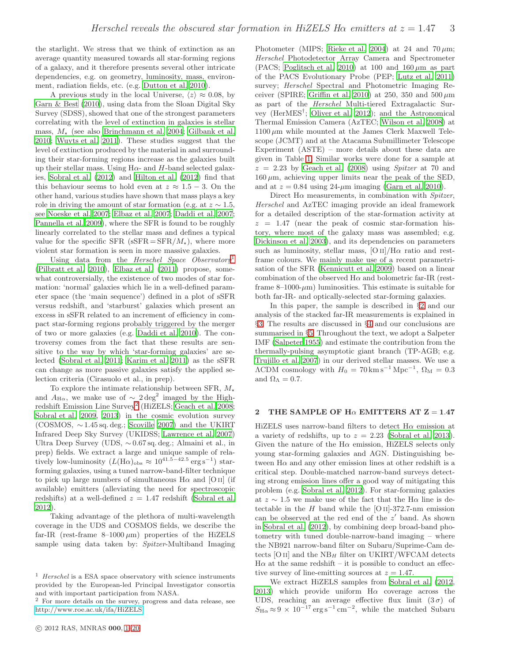the starlight. We stress that we think of extinction as an average quantity measured towards all star-forming regions of a galaxy, and it therefore presents several other intricate dependencies, e.g. on geometry, luminosity, mass, environment, radiation fields, etc. (e.g. [Dutton et al. 2010](#page-16-10)).

A previous study in the local Universe,  $\langle z \rangle \approx 0.08$ , by [Garn & Best \(2010\)](#page-16-11), using data from the Sloan Digital Sky Survey (SDSS), showed that one of the strongest parameters correlating with the level of extinction in galaxies is stellar mass,  $M_{\star}$  (see also [Brinchmann et al. 2004](#page-16-12); [Gilbank et al.](#page-16-13) [2010](#page-16-13); [Wuyts et al. 2011](#page-17-0)). These studies suggest that the level of extinction produced by the material in and surrounding their star-forming regions increase as the galaxies built up their stellar mass. Using  $H\alpha$ - and H-band selected galaxies, [Sobral et al. \(2012\)](#page-16-2) and [Hilton et al. \(2012\)](#page-16-14) find that this behaviour seems to hold even at  $z \approx 1.5 - 3$ . On the other hand, various studies have shown that mass plays a key role in driving the amount of star formation (e.g. at  $z \sim 1.5$ , see [Noeske et al. 2007](#page-16-15); [Elbaz et al. 2007](#page-16-16); [Daddi et al. 2007;](#page-16-17) [Pannella et al. 2009](#page-16-18)), where the SFR is found to be roughly linearly correlated to the stellar mass and defines a typical value for the specific SFR ( $sSFR = SFR/M_{\star}$ ), where more violent star formation is seen in more massive galaxies.

Using data from the *Herschel Space Observatory* [\(Pilbratt et al. 2010\)](#page-16-19), [Elbaz et al. \(2011](#page-16-20)) propose, somewhat controversially, the existence of two modes of star formation: 'normal' galaxies which lie in a well-defined parameter space (the 'main sequence') defined in a plot of sSFR versus redshift, and 'starburst' galaxies which present an excess in sSFR related to an increment of efficiency in compact star-forming regions probably triggered by the merger of two or more galaxies (e.g. [Daddi et al. 2010](#page-16-21)). The controversy comes from the fact that these results are sensitive to the way by which 'star-forming galaxies' are selected [\(Sobral et al. 2011;](#page-16-22) [Karim et al. 2011](#page-16-23)) as the sSFR can change as more passive galaxies satisfy the applied selection criteria (Cirasuolo et al., in prep).

To explore the intimate relationship between SFR,  $M_{\star}$ and  $A_{\text{H}\alpha}$ , we make use of  $\sim 2 \text{ deg}^2$  imaged by the High-redshift Emission Line Survey<sup>[2](#page-2-1)</sup> (HiZELS; [Geach et al. 2008;](#page-16-24) [Sobral et al. 2009,](#page-16-25) [2013](#page-16-26)) in the cosmic evolution survey (COSMOS,  $\sim$  1.45 sq. deg.; [Scoville 2007](#page-16-27)) and the UKIRT Infrared Deep Sky Survey (UKIDSS; [Lawrence et al. 2007](#page-16-28)) Ultra Deep Survey (UDS, ∼ 0.67 sq. deg.; Almaini et al., in prep) fields. We extract a large and unique sample of relatively low-luminosity  $(L(\text{H}\alpha)_{\text{obs}} \approx 10^{41.5-42.5} \text{ erg s}^{-1}) \text{ star-}$ forming galaxies, using a tuned narrow-band-filter technique to pick up large numbers of simultaneous  $H\alpha$  and [O ii] (if available) emitters (alleviating the need for spectroscopic redshifts) at a well-defined  $z = 1.47$  redshift [\(Sobral et al.](#page-16-2) [2012](#page-16-2)).

Taking advantage of the plethora of multi-wavelength coverage in the UDS and COSMOS fields, we describe the far-IR (rest-frame  $8-1000 \mu m$ ) properties of the HiZELS sample using data taken by: Spitzer-Multiband Imaging

<span id="page-2-1"></span><sup>2</sup> For more details on the survey, progress and data release, see <http://www.roe.ac.uk/ifa/HiZELS>

Photometer (MIPS; [Rieke et al. 2004](#page-16-29)) at 24 and 70  $\mu$ m; Herschel Photodetector Array Camera and Spectrometer (PACS; [Poglitsch et al. 2010\)](#page-16-30) at 100 and  $160 \,\mu m$  as part of the PACS Evolutionary Probe (PEP; [Lutz et al. 2011](#page-16-31)) survey; Herschel Spectral and Photometric Imaging Re-ceiver (SPIRE; [Griffin et al. 2010\)](#page-16-32) at 250, 350 and 500  $\mu$ m as part of the Herschel Multi-tiered Extragalactic Survey (HerMES† ; [Oliver et al. 2012](#page-16-33)); and the Astronomical Thermal Emission Camera (AzTEC; [Wilson et al. 2008](#page-17-1)) at  $1100 \mu m$  while mounted at the James Clerk Maxwell Telescope (JCMT) and at the Atacama Submillimeter Telescope Experiment (ASTE) – more details about these data are given in Table [1.](#page-3-0) Similar works were done for a sample at  $z = 2.23$  by [Geach et al. \(2008](#page-16-24)) using *Spitzer* at 70 and  $160 \,\mu m$ , achieving upper limits near the peak of the SED, and at  $z = 0.84$  using 24- $\mu$ m imaging [\(Garn et al. 2010](#page-16-34)).

Direct  $H\alpha$  measurements, in combination with *Spitzer*, Herschel and AzTEC imaging provide an ideal framework for a detailed description of the star-formation activity at  $z = 1.47$  (near the peak of cosmic star-formation history, where most of the galaxy mass was assembled; e.g. [Dickinson et al. 2003\)](#page-16-35), and its dependencies on parameters such as luminosity, stellar mass,  $[O II]/H\alpha$  ratio and restframe colours. We mainly make use of a recent parametrisation of the SFR [\(Kennicutt et al. 2009\)](#page-16-36) based on a linear combination of the observed  $H\alpha$  and bolometric far-IR (restframe 8–1000- $\mu$ m) luminosities. This estimate is suitable for both far-IR- and optically-selected star-forming galaxies.

In this paper, the sample is described in §[2](#page-2-2) and our analysis of the stacked far-IR measurements is explained in §[3.](#page-4-0) The results are discussed in §[4](#page-11-0) and our conclusions are summarised in §[5.](#page-15-0) Throughout the text, we adopt a Salpeter IMF [\(Salpeter 1955](#page-16-37)) and estimate the contribution from the thermally-pulsing asymptotic giant branch (TP-AGB; e.g. [Trujillo et al. 2007](#page-16-38)) in our derived stellar masses. We use a  $\Lambda$ CDM cosmology with  $H_0 = 70 \text{km s}^{-1} \text{Mpc}^{-1}$ ,  $\Omega_M = 0.3$ and  $\Omega_{\Lambda} = 0.7$ .

#### <span id="page-2-2"></span>2 THE SAMPLE OF  $H\alpha$  EMITTERS AT  $Z = 1.47$

HiZELS uses narrow-band filters to detect  $H\alpha$  emission at a variety of redshifts, up to  $z = 2.23$  [\(Sobral et al. 2013](#page-16-26)). Given the nature of the  $H\alpha$  emission, HiZELS selects only young star-forming galaxies and AGN. Distinguishing between  $H\alpha$  and any other emission lines at other redshift is a critical step. Double-matched narrow-band surveys detecting strong emission lines offer a good way of mitigating this problem (e.g. [Sobral et al. 2012](#page-16-2)). For star-forming galaxies at  $z \sim 1.5$  we make use of the fact that the H $\alpha$  line is detectable in the  $H$  band while the [O II]-372.7-nm emission can be observed at the red end of the z ′ band. As shown in [Sobral et al. \(2012\)](#page-16-2), by combining deep broad-band photometry with tuned double-narrow-band imaging – where the NB921 narrow-band filter on Subaru/Suprime-Cam detects  $[O II]$  and the  $NB<sub>H</sub>$  filter on UKIRT/WFCAM detects  $H\alpha$  at the same redshift – it is possible to conduct an effective survey of line-emitting sources at  $z = 1.47$ .

We extract HiZELS samples from [Sobral et al. \(2012](#page-16-2), [2013](#page-16-26)) which provide uniform  $H\alpha$  coverage across the UDS, reaching an average effective flux limit  $(3\sigma)$  of  $S_{\text{H}\alpha} \approx 9 \times 10^{-17} \text{ erg s}^{-1} \text{ cm}^{-2}$ , while the matched Subaru

<span id="page-2-0"></span> $^{\rm 1}$   ${\it Herschel}$  is a ESA space observatory with science instruments provided by the European-led Principal Investigator consortia and with important participation from NASA.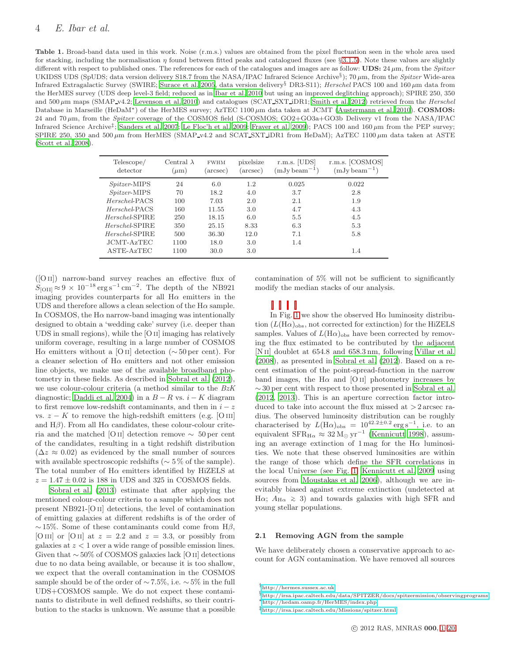<span id="page-3-0"></span>Table 1. Broad-band data used in this work. Noise (r.m.s.) values are obtained from the pixel fluctuation seen in the whole area used for stacking, including the normalisation  $\eta$  found between fitted peaks and catalogued fluxes (see § [3.1.5\)](#page-5-0). Note these values are slightly different with respect to published ones. The references for each of the catalogues and images are as follow:  $\text{UDS: } 24 \mu \text{m}$ , from the *Spitzer* UKIDSS UDS (SpUDS; data version delivery S18.7 from the NASA/IPAC Infrared Science Archive<sup>§</sup>); 70  $\mu$ m, from the *Spitzer* Wide-area Infrared Extragalactic Survey (SWIRE; [Surace et al. 2005](#page-16-39), data version delivery<sup>§</sup> DR3-S11); *Herschel* PACS 100 and 160  $\mu$ m data from the HerMES survey (UDS deep level-3 field; reduced as in [Ibar et al. 2010](#page-16-40) but using an improved deglitching approach); SPIRE 250, 350 and  $500 \,\mu\text{m}$  maps (SMAP\_v4.2; [Levenson et al. 2010](#page-16-41)) and catalogues (SCAT\_SXT\_iDR1; [Smith et al. 2012\)](#page-16-42) retrieved from the Herschel Database in Marseille (HeDaM<sup>\*</sup>) of the HerMES survey; AzTEC 1100  $\mu$ m data taken at JCMT [\(Austermann et al. 2010](#page-15-1)). **COSMOS:** 24 and 70 µm, from the Spitzer coverage of the COSMOS field (S-COSMOS; GO2+GO3a+GO3b Delivery v1 from the NASA/IPAC Infrared Science Archive<sup>‡</sup>; [Sanders et al. 2007](#page-16-43); [Le Floc'h et al. 2009](#page-16-44); [Frayer et al. 2009](#page-16-45)); PACS 100 and 160 µm from the PEP survey; SPIRE 250, 350 and 500  $\mu$ m from HerMES (SMAP v4.2 and SCAT SXT iDR1 from HeDaM); AzTEC 1100  $\mu$ m data taken at ASTE [\(Scott et al. 2008](#page-16-46)).

| Telescope/<br>detector | Central $\lambda$<br>$(\mu m)$ | <b>FWHM</b><br>arcsec) | pixelsize<br>(arcsec) | $r.m.s.$ [UDS]<br>$(mJy beam^{-1})$ | r.m.s. [COSMOS]<br>$(mJy beam^{-1})$ |
|------------------------|--------------------------------|------------------------|-----------------------|-------------------------------------|--------------------------------------|
| <i>Spitzer</i> -MIPS   | 24                             | 6.0                    | 1.2                   | 0.025                               | 0.022                                |
| $Spitzer-MIPS$         | 70                             | 18.2                   | 4.0                   | 3.7                                 | 2.8                                  |
| Herschel-PACS          | 100                            | 7.03                   | 2.0                   | 2.1                                 | 1.9                                  |
| Herschel-PACS          | 160                            | 11.55                  | 3.0                   | 4.7                                 | 4.3                                  |
| Herschel-SPIRE         | 250                            | 18.15                  | 6.0                   | 5.5                                 | 4.5                                  |
| Herschel-SPIRE         | 350                            | 25.15                  | 8.33                  | 6.3                                 | 5.3                                  |
| Herschel-SPIRE         | 500                            | 36.30                  | 12.0                  | 7.1                                 | 5.8                                  |
| JCMT-AzTEC             | 1100                           | 18.0                   | 3.0                   | 1.4                                 |                                      |
| ASTE-AzTEC             | 1100                           | 30.0                   | 3.0                   |                                     | 1.4                                  |

([O ii]) narrow-band survey reaches an effective flux of  $S_{\rm [OII]} \approx 9 \times 10^{-18} \rm erg \, s^{-1} \, cm^{-2}$ . The depth of the NB921 imaging provides counterparts for all  $H\alpha$  emitters in the UDS and therefore allows a clean selection of the  $H\alpha$  sample. In COSMOS, the  $H\alpha$  narrow-band imaging was intentionally designed to obtain a 'wedding cake' survey (i.e. deeper than UDS in small regions), while the [O ii] imaging has relatively uniform coverage, resulting in a large number of COSMOS H $\alpha$  emitters without a [O ii] detection ( $\sim$  50 per cent). For a cleaner selection of  $H\alpha$  emitters and not other emission line objects, we make use of the available broadband photometry in these fields. As described in [Sobral et al. \(2012](#page-16-2)), we use colour-colour criteria (a method similar to the  $BzK$ diagnostic; [Daddi et al. 2004](#page-16-47)) in a  $B - R$  vs.  $i - K$  diagram to first remove low-redshift contaminants, and then in  $i - z$ vs.  $z - K$  to remove the high-redshift emitters (e.g. [O III] and H $\beta$ ). From all H $\alpha$  candidates, these colour-colour criteria and the matched [O ii] detection remove ∼ 50 per cent of the candidates, resulting in a tight redshift distribution  $(\Delta z \approx 0.02)$  as evidenced by the small number of sources with available spectroscopic redshifts ( $\sim$  5% of the sample). The total number of  $H\alpha$  emitters identified by HiZELS at  $z = 1.47 \pm 0.02$  is 188 in UDS and 325 in COSMOS fields.

[Sobral et al. \(2013](#page-16-26)) estimate that after applying the mentioned colour-colour criteria to a sample which does not present NB921-[O ii] detections, the level of contamination of emitting galaxies at different redshifts is of the order of  $\sim$  15%. Some of these contaminants could come from H $\beta$ , [O III] or [O II] at  $z = 2.2$  and  $z = 3.3$ , or possibly from galaxies at  $z < 1$  over a wide range of possible emission lines. Given that ∼ 50% of COSMOS galaxies lack [O ii] detections due to no data being available, or because it is too shallow, we expect that the overall contamination in the COSMOS sample should be of the order of  $\sim$  7.5%, i.e.  $\sim$  5% in the full UDS+COSMOS sample. We do not expect these contaminants to distribute in well defined redshifts, so their contribution to the stacks is unknown. We assume that a possible

contamination of 5% will not be sufficient to significantly modify the median stacks of our analysis.

In Fig. [1](#page-4-1) we show the observed  $H\alpha$  luminosity distribution  $(L(\text{H}\alpha)_{\text{obs}})$ , not corrected for extinction) for the HiZELS samples. Values of  $L(\text{H}\alpha)_{\text{obs}}$  have been corrected by removing the flux estimated to be contributed by the adjacent [N<sub>II]</sub> doublet at  $654.8$  and  $658.3$  nm, following [Villar et al.](#page-17-2) [\(2008](#page-17-2)), as presented in [Sobral et al. \(2012](#page-16-2)). Based on a recent estimation of the point-spread-function in the narrow band images, the H $\alpha$  and [O II] photometry increases by ∼ 30 per cent with respect to those presented in [Sobral et al.](#page-16-2) [\(2012](#page-16-2), [2013](#page-16-26)). This is an aperture correction factor introduced to take into account the flux missed at  $>$  2 arcsec radius. The observed luminosity distribution can be roughly characterised by  $L(\text{H}\alpha)_{\text{obs}} = 10^{42.2 \pm 0.2} \text{erg s}^{-1}$ , i.e. to an equivalent  $SFR_{H\alpha} \approx 32 \text{ M}_{\odot} \text{ yr}^{-1}$  [\(Kennicutt 1998\)](#page-16-0), assuming an average extinction of  $1 \text{ mag}$  for the H $\alpha$  luminosities. We note that these observed luminosities are within the range of those which define the SFR correlations in the local Universe (see Fig. [1;](#page-4-1) [Kennicutt et al. 2009](#page-16-36) using sources from [Moustakas et al. 2006\)](#page-16-48), although we are inevitably biased against extreme extinction (undetected at H $\alpha$ ;  $A_{\text{H}\alpha} \geq 3$ ) and towards galaxies with high SFR and young stellar populations.

#### <span id="page-3-1"></span>2.1 Removing AGN from the sample

We have deliberately chosen a conservative approach to account for AGN contamination. We have removed all sources

<sup>†</sup><http://hermes.sussex.ac.uk>

 $\S$ <http://irsa.ipac.caltech.edu/data/SPITZER/docs/spitzermission/observingprograms>

<sup>∗</sup><http://hedam.oamp.fr/HerMES/index.php> ‡<http://irsa.ipac.caltech.edu/Missions/spitzer.html>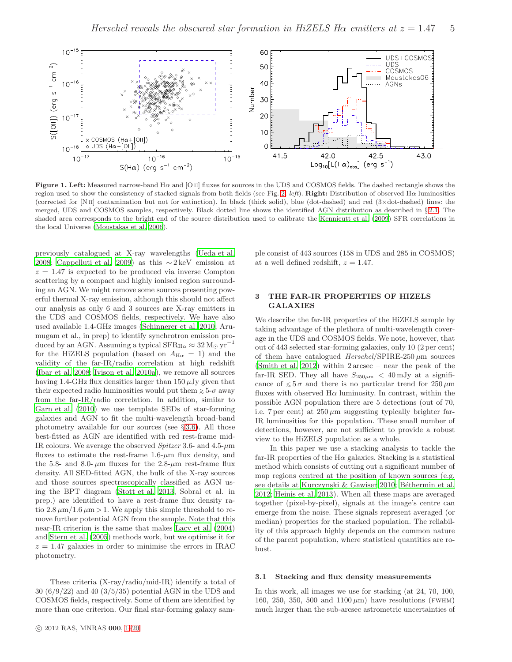

<span id="page-4-1"></span>Figure 1. Left: Measured narrow-band  $H\alpha$  and  $[O II]$  fluxes for sources in the UDS and COSMOS fields. The dashed rectangle shows the region used to show the consistency of stacked signals from both fields (see Fig. [2,](#page-7-0) left). Right: Distribution of observed H $\alpha$  luminosities (corrected for [N ii] contamination but not for extinction). In black (thick solid), blue (dot-dashed) and red (3×dot-dashed) lines: the merged, UDS and COSMOS samples, respectively. Black dotted line shows the identified AGN distribution as described in § [2.1.](#page-3-1) The shaded area corresponds to the bright end of the source distribution used to calibrate the [Kennicutt et al. \(2009\)](#page-16-36) SFR correlations in the local Universe [\(Moustakas et al. 2006](#page-16-48)).

<span id="page-4-3"></span>previously catalogued at X-ray wavelengths [\(Ueda et al.](#page-16-49) [2008](#page-16-49); [Cappelluti et al. 2009](#page-16-50)) as this  $\sim$  2 keV emission at  $z = 1.47$  is expected to be produced via inverse Compton scattering by a compact and highly ionised region surrounding an AGN. We might remove some sources presenting powerful thermal X-ray emission, although this should not affect our analysis as only 6 and 3 sources are X-ray emitters in the UDS and COSMOS fields, respectively. We have also used available 1.4-GHz images [\(Schinnerer et al. 2010](#page-16-51); Arumugam et al., in prep) to identify synchrotron emission produced by an AGN. Assuming a typical SFR $_{\text{H}\alpha} \approx 32 \text{ M}_{\odot} \text{ yr}^{-1}$ for the HiZELS population (based on  $A_{H\alpha} = 1$ ) and the validity of the far-IR/radio correlation at high redshift [\(Ibar et al. 2008](#page-16-52); [Ivison et al. 2010a](#page-16-53)), we remove all sources having 1.4-GHz flux densities larger than  $150 \mu$ Jy given that their expected radio luminosities would put them  $\geq 5$ - $\sigma$  away from the far-IR/radio correlation. In addition, similar to [Garn et al. \(2010\)](#page-16-34) we use template SEDs of star-forming galaxies and AGN to fit the multi-wavelength broad-band photometry available for our sources (see  $\S 3.6$ ). All those best-fitted as AGN are identified with red rest-frame mid-IR colours. We average the observed Spitzer 3.6- and 4.5- $\mu$ m fluxes to estimate the rest-frame  $1.6-\mu m$  flux density, and the 5.8- and 8.0-  $\mu$ m fluxes for the 2.8- $\mu$ m rest-frame flux density. All SED-fitted AGN, the bulk of the X-ray sources and those sources spectroscopically classified as AGN using the BPT diagram [\(Stott et al. 2013](#page-16-6), Sobral et al. in prep.) are identified to have a rest-frame flux density ratio  $2.8 \mu \text{m}/1.6 \mu \text{m} > 1$ . We apply this simple threshold to remove further potential AGN from the sample. Note that this near-IR criterion is the same that makes [Lacy et al. \(2004](#page-16-54)) and [Stern et al. \(2005](#page-16-55)) methods work, but we optimise it for  $z = 1.47$  galaxies in order to minimise the errors in IRAC photometry.

These criteria (X-ray/radio/mid-IR) identify a total of 30 (6/9/22) and 40 (3/5/35) potential AGN in the UDS and COSMOS fields, respectively. Some of them are identified by more than one criterion. Our final star-forming galaxy sam-

c 2012 RAS, MNRAS 000, [1–](#page-0-0)[20](#page-20-0)

ple consist of 443 sources (158 in UDS and 285 in COSMOS) at a well defined redshift,  $z = 1.47$ .

# <span id="page-4-0"></span>3 THE FAR-IR PROPERTIES OF HIZELS GALAXIES

We describe the far-IR properties of the HiZELS sample by taking advantage of the plethora of multi-wavelength coverage in the UDS and COSMOS fields. We note, however, that out of 443 selected star-forming galaxies, only 10 (2 per cent) of them have catalogued  $Herschel/SPIRE-250 \mu m$  sources [\(Smith et al. 2012\)](#page-16-42) within 2 arcsec – near the peak of the far-IR SED. They all have  $S_{250\mu m} < 40 \,\mathrm{mJy}$  at a significance of  $\leq 5\sigma$  and there is no particular trend for 250  $\mu$ m fluxes with observed  $H\alpha$  luminosity. In contrast, within the possible AGN population there are 5 detections (out of 70, i.e. 7 per cent) at  $250 \mu m$  suggesting typically brighter far-IR luminosities for this population. These small number of detections, however, are not sufficient to provide a robust view to the HiZELS population as a whole.

In this paper we use a stacking analysis to tackle the far-IR properties of the H $\alpha$  galaxies. Stacking is a statistical method which consists of cutting out a significant number of map regions centred at the position of known sources (e.g. see details at [Kurczynski & Gawiser 2010](#page-16-56); Béthermin et al. [2012](#page-16-57); [Heinis et al. 2013](#page-16-7)). When all these maps are averaged together (pixel-by-pixel), signals at the image's centre can emerge from the noise. These signals represent averaged (or median) properties for the stacked population. The reliability of this approach highly depends on the common nature of the parent population, where statistical quantities are robust.

#### <span id="page-4-2"></span>3.1 Stacking and flux density measurements

In this work, all images we use for stacking (at 24, 70, 100, 160, 250, 350, 500 and  $1100 \,\mu m$ ) have resolutions (FWHM) much larger than the sub-arcsec astrometric uncertainties of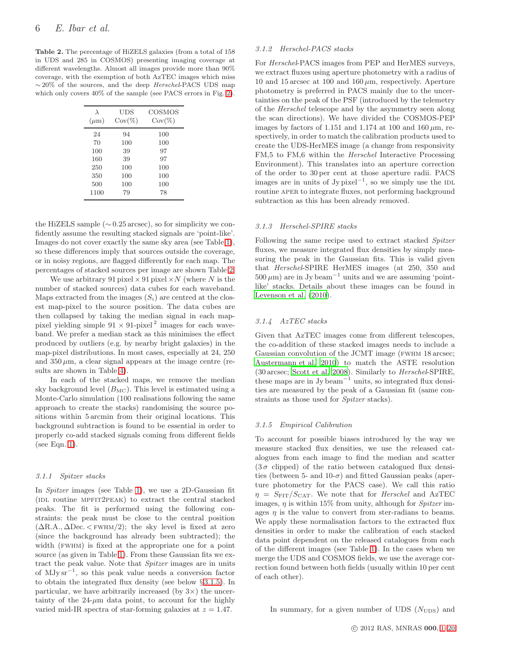<span id="page-5-1"></span>Table 2. The percentage of HiZELS galaxies (from a total of 158 in UDS and 285 in COSMOS) presenting imaging coverage at different wavelengths. Almost all images provide more than 90% coverage, with the exemption of both AzTEC images which miss  $\sim$  20% of the sources, and the deep *Herschel-PACS* UDS map which only covers 40% of the sample (see PACS errors in Fig. [2\)](#page-7-0).

| $\lambda$<br>$(\mu m)$ | <b>UDS</b><br>$\text{Cov}(\%)$ | COSMOS<br>$\text{Cov}(\%)$ |
|------------------------|--------------------------------|----------------------------|
| 24                     | 94                             | 100                        |
| 70                     | 100                            | 100                        |
| 100                    | 39                             | 97                         |
| 160                    | 39                             | 97                         |
| 250                    | 100                            | 100                        |
| 350                    | 100                            | 100                        |
| 500                    | 100                            | 100                        |
| 1100                   | 79                             | 78                         |

the HiZELS sample  $(\sim 0.25 \text{ arcsec})$ , so for simplicity we confidently assume the resulting stacked signals are 'point-like'. Images do not cover exactly the same sky area (see Table [1\)](#page-3-0), so these differences imply that sources outside the coverage, or in noisy regions, are flagged differently for each map. The percentages of stacked sources per image are shown Table [2.](#page-5-1)

We use arbitrary 91 pixel  $\times$  91 pixel  $\times N$  (where N is the number of stacked sources) data cubes for each waveband. Maps extracted from the images  $(S_i)$  are centred at the closest map-pixel to the source position. The data cubes are then collapsed by taking the median signal in each mappixel yielding simple  $91 \times 91$ -pixel<sup>2</sup> images for each waveband. We prefer a median stack as this minimises the effect produced by outliers (e.g. by nearby bright galaxies) in the map-pixel distributions. In most cases, especially at 24, 250 and  $350 \mu m$ , a clear signal appears at the image centre (results are shown in Table [4\)](#page-18-0).

In each of the stacked maps, we remove the median sky background level  $(B_{MC})$ . This level is estimated using a Monte-Carlo simulation (100 realisations following the same approach to create the stacks) randomising the source positions within 5 arcmin from their original locations. This background subtraction is found to be essential in order to properly co-add stacked signals coming from different fields (see Eqn. [1\)](#page-6-0).

#### 3.1.1 Spitzer stacks

In Spitzer images (see Table [1\)](#page-3-0), we use a 2D-Gaussian fit (idl routine mpfit2peak) to extract the central stacked peaks. The fit is performed using the following constraints: the peak must be close to the central position  $(\Delta R.A., \Delta Dec. \langle FWHM/2 \rangle)$ ; the sky level is fixed at zero (since the background has already been subtracted); the width (FWHM) is fixed at the appropriate one for a point source (as given in Table [1\)](#page-3-0). From these Gaussian fits we extract the peak value. Note that Spitzer images are in units of MJy sr<sup>−</sup><sup>1</sup> , so this peak value needs a conversion factor to obtain the integrated flux density (see below § [3.1.5\)](#page-5-0). In particular, we have arbitrarily increased (by  $3\times$ ) the uncertainty of the  $24-\mu m$  data point, to account for the highly varied mid-IR spectra of star-forming galaxies at  $z = 1.47$ .

#### 3.1.2 Herschel-PACS stacks

For Herschel-PACS images from PEP and HerMES surveys, we extract fluxes using aperture photometry with a radius of 10 and 15 arcsec at 100 and 160  $\mu$ m, respectively. Aperture photometry is preferred in PACS mainly due to the uncertainties on the peak of the PSF (introduced by the telemetry of the Herschel telescope and by the asymmetry seen along the scan directions). We have divided the COSMOS-PEP images by factors of 1.151 and 1.174 at 100 and 160  $\mu$ m, respectively, in order to match the calibration products used to create the UDS-HerMES image (a change from responsivity FM,5 to FM,6 within the Herschel Interactive Processing Environment). This translates into an aperture correction of the order to 30 per cent at those aperture radii. PACS images are in units of Jy pixel<sup> $-1$ </sup>, so we simply use the  $IDL$ routine APER to integrate fluxes, not performing background subtraction as this has been already removed.

#### 3.1.3 Herschel-SPIRE stacks

<span id="page-5-2"></span>Following the same recipe used to extract stacked Spitzer fluxes, we measure integrated flux densities by simply measuring the peak in the Gaussian fits. This is valid given that Herschel-SPIRE HerMES images (at 250, 350 and  $500 \,\mu\text{m}$ ) are in Jy beam<sup>-1</sup> units and we are assuming 'pointlike' stacks. Details about these images can be found in [Levenson et al. \(2010\)](#page-16-41).

# 3.1.4 AzTEC stacks

Given that AzTEC images come from different telescopes, the co-addition of these stacked images needs to include a Gaussian convolution of the JCMT image (FWHM 18 arcsec; [Austermann et al. 2010](#page-15-1)) to match the ASTE resolution (30 arcsec; [Scott et al. 2008\)](#page-16-46). Similarly to Herschel-SPIRE, these maps are in Jy beam<sup>-1</sup> units, so integrated flux densities are measured by the peak of a Gaussian fit (same constraints as those used for *Spitzer* stacks).

#### <span id="page-5-0"></span>3.1.5 Empirical Calibration

To account for possible biases introduced by the way we measure stacked flux densities, we use the released catalogues from each image to find the median and scatter  $(3\sigma$  clipped) of the ratio between catalogued flux densities (between 5- and 10- $\sigma$ ) and fitted Gaussian peaks (aperture photometry for the PACS case). We call this ratio  $\eta = S_{\text{FIT}}/S_{\text{CAT}}$ . We note that for *Herschel* and AzTEC images,  $\eta$  is within 15% from unity, although for *Spitzer* images  $\eta$  is the value to convert from ster-radians to beams. We apply these normalisation factors to the extracted flux densities in order to make the calibration of each stacked data point dependent on the released catalogues from each of the different images (see Table [1\)](#page-3-0). In the cases when we merge the UDS and COSMOS fields, we use the average correction found between both fields (usually within 10 per cent of each other).

In summary, for a given number of UDS  $(N_{\rm UDS})$  and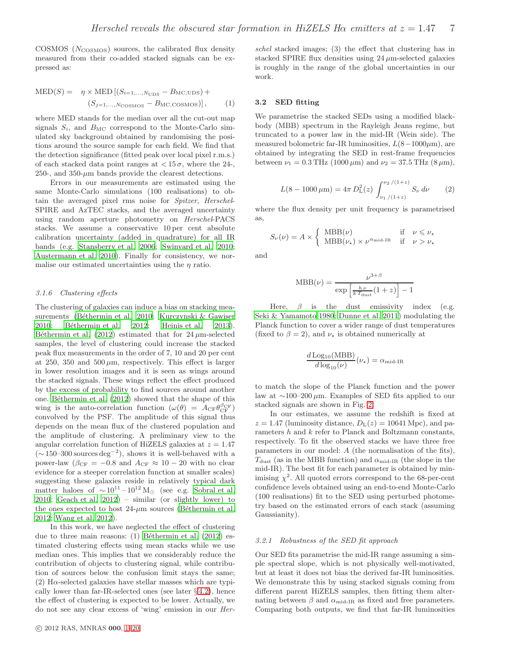$COSMOS$  ( $N_{\text{COSMOS}}$ ) sources, the calibrated flux density measured from their co-added stacked signals can be expressed as:

<span id="page-6-0"></span>
$$
MED(S) = \eta \times MED[(S_{i=1,\dots,N_{\text{UDS}}} - B_{\text{MC,UDS}}) + (S_{j=1,\dots,N_{\text{COSMOS}}} - B_{\text{MC,COSMOS}})],
$$
 (1)

where MED stands for the median over all the cut-out map signals  $S_i$ , and  $B_{MC}$  correspond to the Monte-Carlo simulated sky background obtained by randomising the positions around the source sample for each field. We find that the detection significance (fitted peak over local pixel r.m.s.) of each stacked data point ranges at  $\lt 15\sigma$ , where the 24-, 250-, and 350- $\mu$ m bands provide the clearest detections.

Errors in our measurements are estimated using the same Monte-Carlo simulations (100 realisations) to obtain the averaged pixel rms noise for Spitzer, Herschel-SPIRE and AzTEC stacks, and the averaged uncertainty using random aperture photometry on Herschel-PACS stacks. We assume a conservative 10 per cent absolute calibration uncertainty (added in quadrature) for all IR bands (e.g. [Stansberry et al. 2006;](#page-16-58) [Swinyard et al. 2010;](#page-16-59) [Austermann et al. 2010](#page-15-1)). Finally for consistency, we normalise our estimated uncertainties using the  $\eta$  ratio.

#### 3.1.6 Clustering effects

The clustering of galaxies can induce a bias on stacking mea-surements (Béthermin et al. 2010; [Kurczynski & Gawiser](#page-16-56) [2010](#page-16-56); Béthermin et al. 2012; [Heinis et al. 2013](#page-16-7)). Béthermin et al. (2012) estimated that for  $24 \mu$ m-selected samples, the level of clustering could increase the stacked peak flux measurements in the order of 7, 10 and 20 per cent at 250, 350 and 500  $\mu$ m, respectively. This effect is larger in lower resolution images and it is seen as wings around the stacked signals. These wings reflect the effect produced by the excess of probability to find sources around another one. Béthermin et al. (2012) showed that the shape of this wing is the auto-correlation function  $(\omega(\theta) = A_{\text{CF}} \theta_{\text{CF}}^{\beta_{\text{CF}}})$ convolved by the PSF. The amplitude of this signal thus depends on the mean flux of the clustered population and the amplitude of clustering. A preliminary view to the angular correlation function of HiZELS galaxies at  $z = 1.47$ ( $\sim$ 150–300 sources deg<sup>-2</sup>), shows it is well-behaved with a power-law ( $\beta_{\text{CF}} = -0.8$  and  $A_{\text{CF}} \approx 10 - 20$  with no clear evidence for a steeper correlation function at smaller scales) suggesting these galaxies reside in relatively typical dark matter haloes of  $\sim 10^{11} - 10^{12}$  M<sub>☉</sub> (see e.g. [Sobral et al.](#page-16-61) [2010](#page-16-61); [Geach et al. 2012](#page-16-62)) – similar (or slightly lower) to the ones expected to host  $24-\mu m$  sources (Béthermin et al. [2012](#page-16-63); [Wang et al. 2012](#page-17-3)).

In this work, we have neglected the effect of clustering due to three main reasons:  $(1)$  Béthermin et al.  $(2012)$  estimated clustering effects using mean stacks while we use median ones. This implies that we considerably reduce the contribution of objects to clustering signal, while contribution of sources below the confusion limit stays the same; (2) H $\alpha$ -selected galaxies have stellar masses which are typically lower than far-IR-selected ones (see later  $\S 4.2$ ), hence the effect of clustering is expected to be lower. Actually, we do not see any clear excess of 'wing' emission in our Herschel stacked images; (3) the effect that clustering has in stacked SPIRE flux densities using  $24 \mu$ m-selected galaxies is roughly in the range of the global uncertainties in our work.

#### <span id="page-6-2"></span>3.2 SED fitting

We parametrise the stacked SEDs using a modified blackbody (MBB) spectrum in the Rayleigh Jeans regime, but truncated to a power law in the mid-IR (Wein side). The measured bolometric far-IR luminosities,  $L(8-1000\mu m)$ , are obtained by integrating the SED in rest-frame frequencies between  $\nu_1 = 0.3 \text{ THz} (1000 \,\mu\text{m})$  and  $\nu_2 = 37.5 \text{ THz} (8 \,\mu\text{m})$ ,

$$
L(8 - 1000 \,\mu\text{m}) = 4\pi \, D_{\text{L}}^2(z) \int_{\nu_1/(1+z)}^{\nu_2/(1+z)} S_{\nu} \, d\nu \qquad (2)
$$

where the flux density per unit frequency is parametrised as,

$$
S_{\nu}(\nu) = A \times \left\{ \begin{array}{ll} \text{MBB}(\nu) & \text{if } \nu \leq \nu_{\star} \\ \text{MBB}(\nu_{\star}) \times \nu^{\alpha_{\text{mid-IR}}} & \text{if } \nu > \nu_{\star} \end{array} \right.
$$

and

$$
MBB(\nu) = \frac{\nu^{3+\beta}}{\exp\left[\frac{h\nu}{kT_{\text{dust}}}(1+z)\right] - 1}
$$

Here,  $\beta$  is the dust emissivity index (e.g. [Seki & Yamamoto 1980;](#page-16-64) [Dunne et al. 2011](#page-16-65)) modulating the Planck function to cover a wider range of dust temperatures (fixed to  $\beta = 2$ ), and  $\nu_{\star}$  is obtained numerically at

$$
\frac{d \text{Log}_{10}(\text{MBB})}{d \log_{10}(\nu)}(\nu_{\star}) = \alpha_{\text{mid-IR}}
$$

to match the slope of the Planck function and the power law at  $\sim$ 100–200 μm. Examples of SED fits applied to our stacked signals are shown in Fig. [2.](#page-7-0)

In our estimates, we assume the redshift is fixed at  $z = 1.47$  (luminosity distance,  $D_{L}(z) = 10641$  Mpc), and parameters  $h$  and  $k$  refer to Planck and Boltzmann constants, respectively. To fit the observed stacks we have three free parameters in our model: A (the normalisation of the fits),  $T_{\text{dust}}$  (as in the MBB function) and  $\alpha_{\text{mid-IR}}$  (the slope in the mid-IR). The best fit for each parameter is obtained by minimising  $\chi^2$ . All quoted errors correspond to the 68-per-cent confidence levels obtained using an end-to-end Monte-Carlo (100 realisations) fit to the SED using perturbed photometry based on the estimated errors of each stack (assuming Gaussianity).

#### <span id="page-6-1"></span>3.2.1 Robustness of the SED fit approach

Our SED fits parametrise the mid-IR range assuming a simple spectral slope, which is not physically well-motivated, but at least it does not bias the derived far-IR luminosities. We demonstrate this by using stacked signals coming from different parent HiZELS samples, then fitting them alternating between  $\beta$  and  $\alpha_{mid-IR}$  as fixed and free parameters. Comparing both outputs, we find that far-IR luminosities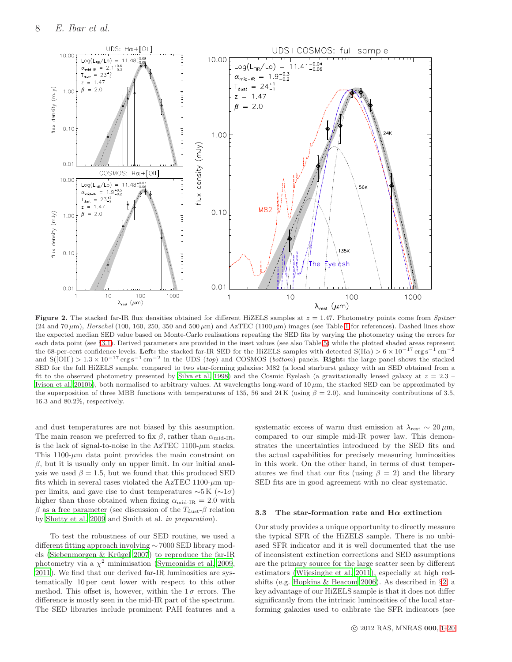

<span id="page-7-0"></span>Figure 2. The stacked far-IR flux densities obtained for different HiZELS samples at  $z = 1.47$ . Photometry points come from Spitzer (24 and 70  $\mu$ m), Herschel (100, [1](#page-3-0)60, 250, 350 and 500  $\mu$ m) and AzTEC (1100  $\mu$ m) images (see Table 1 for references). Dashed lines show the expected median SED value based on Monte-Carlo realisations repeating the SED fits by varying the photometry using the errors for each data point (see §[3.1\)](#page-4-2). Derived parameters are provided in the inset values (see also Table [5\)](#page-20-0) while the plotted shaded areas represent the 68-per-cent confidence levels. Left: the stacked far-IR SED for the HiZELS samples with detected  $S(H\alpha) > 6 \times 10^{-17}$  erg s<sup>-1</sup> cm<sup>-2</sup> and  $S([OII]) > 1.3 \times 10^{-17} \text{ erg s}^{-1} \text{ cm}^{-2}$  in the UDS (top) and COSMOS (bottom) panels. **Right:** the large panel shows the stacked SED for the full HiZELS sample, compared to two star-forming galaxies: M82 (a local starburst galaxy with an SED obtained from a fit to the observed photometry presented by [Silva et al. 1998\)](#page-16-66) and the Cosmic Eyelash (a gravitationally lensed galaxy at  $z = 2.3$ [Ivison et al. 2010b](#page-16-67)), both normalised to arbitrary values. At wavelengths long-ward of 10 µm, the stacked SED can be approximated by the superposition of three MBB functions with temperatures of 135, 56 and 24 K (using  $\beta = 2.0$ ), and luminosity contributions of 3.5, 16.3 and 80.2%, respectively.

and dust temperatures are not biased by this assumption. The main reason we preferred to fix  $\beta$ , rather than  $\alpha_{\rm mid-IR}$ , is the lack of signal-to-noise in the AzTEC 1100- $\mu$ m stacks. This 1100- $\mu$ m data point provides the main constraint on  $\beta$ , but it is usually only an upper limit. In our initial analysis we used  $\beta = 1.5$ , but we found that this produced SED fits which in several cases violated the AzTEC 1100- $\mu$ m upper limits, and gave rise to dust temperatures  $\sim$ 5 K ( $\sim$ 1 $\sigma$ ) higher than those obtained when fixing  $\alpha_{\text{mid-IR}} = 2.0$  with  $\beta$  as a free parameter (see discussion of the  $T_{\text{dust}}-\beta$  relation by [Shetty et al. 2009](#page-16-68) and Smith et al. in preparation).

To test the robustness of our SED routine, we used a different fitting approach involving ∼ 7000 SED library models (Siebenmorgen  $&$  Krügel 2007) to reproduce the far-IR photometry via a  $\chi^2$  minimisation [\(Symeonidis et al. 2009,](#page-16-70) [2011](#page-16-71)). We find that our derived far-IR luminosities are systematically 10 per cent lower with respect to this other method. This offset is, however, within the  $1\sigma$  errors. The difference is mostly seen in the mid-IR part of the spectrum. The SED libraries include prominent PAH features and a systematic excess of warm dust emission at  $\lambda_{\text{rest}} \sim 20 \,\mu\text{m}$ , compared to our simple mid-IR power law. This demonstrates the uncertainties introduced by the SED fits and the actual capabilities for precisely measuring luminosities in this work. On the other hand, in terms of dust temperatures we find that our fits (using  $\beta = 2$ ) and the library SED fits are in good agreement with no clear systematic.

#### 3.3 The star-formation rate and  $H\alpha$  extinction

Our study provides a unique opportunity to directly measure the typical SFR of the HiZELS sample. There is no unbiased SFR indicator and it is well documented that the use of inconsistent extinction corrections and SED assumptions are the primary source for the large scatter seen by different estimators [\(Wijesinghe et al. 2011](#page-17-4)), especially at high redshifts (e.g. [Hopkins & Beacom 2006\)](#page-16-72). As described in §[2,](#page-2-2) a key advantage of our HiZELS sample is that it does not differ significantly from the intrinsic luminosities of the local starforming galaxies used to calibrate the SFR indicators (see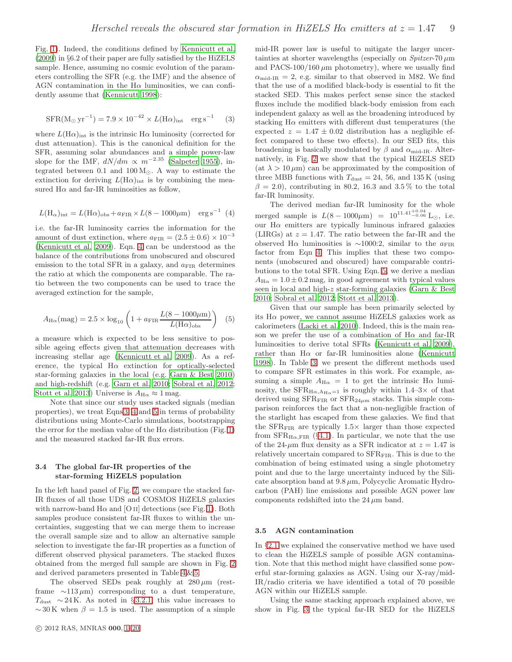Fig. [1\)](#page-4-1). Indeed, the conditions defined by [Kennicutt et al.](#page-16-36) [\(2009](#page-16-36)) in §6.2 of their paper are fully satisfied by the HiZELS sample. Hence, assuming no cosmic evolution of the parameters controlling the SFR (e.g. the IMF) and the absence of AGN contamination in the  $H\alpha$  luminosities, we can confidently assume that [\(Kennicutt 1998](#page-16-0)):

<span id="page-8-1"></span>
$$
SFR(M_{\odot} \, yr^{-1}) = 7.9 \times 10^{-42} \times L(H\alpha)_{\text{int}} \, erg \, s^{-1} \tag{3}
$$

where  $L(\text{H}\alpha)_{\text{int}}$  is the intrinsic  $\text{H}\alpha$  luminosity (corrected for dust attenuation). This is the canonical definition for the SFR, assuming solar abundances and a simple power-law slope for the IMF,  $dN/dm \propto m^{-2.35}$  [\(Salpeter 1955](#page-16-37)), integrated between 0.1 and  $100 M_{\odot}$ . A way to estimate the extinction for deriving  $L(\text{H}\alpha)_{\text{int}}$  is by combining the measured  $H\alpha$  and far-IR luminosities as follow,

<span id="page-8-0"></span>
$$
L(\text{H}_{\alpha})_{\text{int}} = L(\text{H}\alpha)_{\text{obs}} + a_{\text{FIR}} \times L(8 - 1000 \mu \text{m}) \text{ erg s}^{-1} (4)
$$

i.e. the far-IR luminosity carries the information for the amount of dust extinction, where  $a_{\text{FIR}} = (2.5 \pm 0.6) \times 10^{-3}$ [\(Kennicutt et al. 2009](#page-16-36)). Eqn. [4](#page-8-0) can be understood as the balance of the contributions from unobscured and obscured emission to the total SFR in a galaxy, and  $a_{\text{FIR}}$  determines the ratio at which the components are comparable. The ratio between the two components can be used to trace the averaged extinction for the sample,

<span id="page-8-2"></span>
$$
A_{\text{H}\alpha}(\text{mag}) = 2.5 \times \log_{10} \left( 1 + a_{\text{FIR}} \frac{L(8 - 1000 \mu \text{m})}{L(\text{H}\alpha)_{\text{obs}}} \right) (5)
$$

a measure which is expected to be less sensitive to possible ageing effects given that attenuation decreases with increasing stellar age [\(Kennicutt et al. 2009](#page-16-36)). As a reference, the typical  $H\alpha$  extinction for optically-selected star-forming galaxies in the local (e.g. [Garn & Best 2010](#page-16-11)) and high-redshift (e.g. [Garn et al. 2010](#page-16-34); [Sobral et al. 2012;](#page-16-2) [Stott et al. 2013](#page-16-6)) Universe is  $A_{\text{H}\alpha} \approx 1 \text{ mag.}$ 

Note that since our study uses stacked signals (median properties), we treat Eqns [3,](#page-8-1) [4](#page-8-0) and [5](#page-8-2) in terms of probability distributions using Monte-Carlo simulations, bootstrapping the error for the median value of the  $H\alpha$  distribution (Fig. [1\)](#page-4-1) and the measured stacked far-IR flux errors.

# 3.4 The global far-IR properties of the star-forming HiZELS population

In the left hand panel of Fig. [2,](#page-7-0) we compare the stacked far-IR fluxes of all those UDS and COSMOS HiZELS galaxies with narrow-band  $H\alpha$  and [O II] detections (see Fig. [1\)](#page-4-1). Both samples produce consistent far-IR fluxes to within the uncertainties, suggesting that we can merge them to increase the overall sample size and to allow an alternative sample selection to investigate the far-IR properties as a function of different observed physical parameters. The stacked fluxes obtained from the merged full sample are shown in Fig. [2](#page-7-0) and derived parameters presented in Table [4](#page-18-0) & [5.](#page-20-0)

The observed SEDs peak roughly at  $280 \,\mu m$  (restframe  $\sim$ 113 µm) corresponding to a dust temperature,  $T_{\text{dust}}$  ∼ 24 K. As noted in § [3.2.1,](#page-6-1) this value increases to  $\sim$  30 K when  $\beta = 1.5$  is used. The assumption of a simple mid-IR power law is useful to mitigate the larger uncertainties at shorter wavelengths (especially on  $Spitzer-70 \mu m$ and PACS-100/160  $\mu$ m photometry), where we usually find  $\alpha_{\rm mid-IR} = 2$ , e.g. similar to that observed in M82. We find that the use of a modified black-body is essential to fit the stacked SED. This makes perfect sense since the stacked fluxes include the modified black-body emission from each independent galaxy as well as the broadening introduced by stacking  $H\alpha$  emitters with different dust temperatures (the expected  $z = 1.47 \pm 0.02$  distribution has a negligible effect compared to these two effects). In our SED fits, this broadening is basically modulated by  $\beta$  and  $\alpha_{\rm mid-IR}$ . Alternatively, in Fig. [2](#page-7-0) we show that the typical HiZELS SED (at  $\lambda > 10 \,\mu\text{m}$ ) can be approximated by the composition of three MBB functions with  $T_{\text{dust}} = 24, 56, \text{ and } 135 \text{ K (using)}$  $\beta = 2.0$ , contributing in 80.2, 16.3 and 3.5% to the total far-IR luminosity.

The derived median far-IR luminosity for the whole merged sample is  $L(8-1000\mu m) = 10^{11.41^{+0.04}_{-0.06}}$  L<sub>☉</sub>, i.e. our  $H\alpha$  emitters are typically luminous infrared galaxies (LIRGs) at  $z = 1.47$ . The ratio between the far-IR and the observed H $\alpha$  luminosities is ~1000:2, similar to the  $a_{\text{FIR}}$ factor from Eqn [4.](#page-8-0) This implies that these two components (unobscured and obscured) have comparable contributions to the total SFR. Using Eqn. [5,](#page-8-2) we derive a median  $A_{\text{H}\alpha} = 1.0 \pm 0.2$  mag, in good agreement with typical values seen in local and high-z star-forming galaxies [\(Garn & Best](#page-16-11) [2010](#page-16-11); [Sobral et al. 2012;](#page-16-2) [Stott et al. 2013\)](#page-16-6).

Given that our sample has been primarily selected by its  $H\alpha$  power, we cannot assume HiZELS galaxies work as calorimeters [\(Lacki et al. 2010](#page-16-8)). Indeed, this is the main reason we prefer the use of a combination of  $H\alpha$  and far-IR luminosities to derive total SFRs [\(Kennicutt et al. 2009](#page-16-36)), rather than  $H\alpha$  or far-IR luminosities alone [\(Kennicutt](#page-16-0) [1998](#page-16-0)). In Table [3,](#page-9-1) we present the different methods used to compare SFR estimates in this work. For example, assuming a simple  $A_{H\alpha} = 1$  to get the intrinsic  $H\alpha$  luminosity, the  $SFR_{H\alpha, A_{H\alpha}=1}$  is roughly within 1.4–3× of that derived using  $SFR_{\text{FIR}}$  or  $SFR_{24\mu m}$  stacks. This simple comparison reinforces the fact that a non-negligible fraction of the starlight has escaped from these galaxies. We find that the  $SFR_{\text{FIR}}$  are typically  $1.5\times$  larger than those expected from  $SFR_{H\alpha,FIR}$  (§[4.1\)](#page-11-1). In particular, we note that the use of the 24- $\mu$ m flux density as a SFR indicator at  $z = 1.47$  is relatively uncertain compared to  $SFR_{\text{FIR}}$ . This is due to the combination of being estimated using a single photometry point and due to the large uncertainty induced by the Silicate absorption band at  $9.8 \mu m$ , Polycyclic Aromatic Hydrocarbon (PAH) line emissions and possible AGN power law components redshifted into the  $24 \mu m$  band.

#### 3.5 AGN contamination

In §[2.1](#page-3-1) we explained the conservative method we have used to clean the HiZELS sample of possible AGN contamination. Note that this method might have classified some powerful star-forming galaxies as AGN. Using our X-ray/mid-IR/radio criteria we have identified a total of 70 possible AGN within our HiZELS sample.

Using the same stacking approach explained above, we show in Fig. [3](#page-9-2) the typical far-IR SED for the HiZELS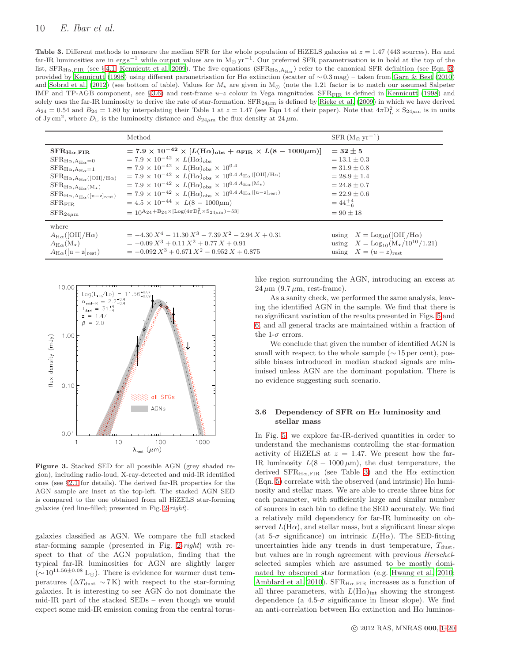# 10 E. Ibar et al.

<span id="page-9-1"></span>Table 3. Different methods to measure the median SFR for the whole population of HiZELS galaxies at  $z = 1.47$  (443 sources). H $\alpha$  and far-IR luminosities are in erg s<sup>-1</sup> while output values are in M<sub>☉</sub> yr<sup>-1</sup>. Our preferred SFR parametrisation is in bold at the top of the list,  $\rm SFR_{H\alpha, FIR}$  (see § [4.1;](#page-11-1) [Kennicutt et al. 2009](#page-16-36)). The five equations  $\rm (SFR_{H\alpha, A_{H\alpha}})$  refer to the canonical SFR definition (see Eqn. [3\)](#page-8-1) provided by [Kennicutt \(1998](#page-16-0)) using different parametrisation for Hα extinction (scatter of ∼ 0.3 mag) – taken from [Garn & Best \(2010\)](#page-16-11) and [Sobral et al. \(2012](#page-16-2)) (see bottom of table). Values for  $M_{\star}$  are given in M<sub>☉</sub> (note the 1.21 factor is to match our assumed Salpeter IMF and TP-AGB component, see § [3.6\)](#page-9-0) and rest-frame  $u-z$  colour in Vega magnitudes. SFR<sub>FIR</sub> is defined in [Kennicutt \(1998\)](#page-16-0) and solely uses the far-IR luminosity to derive the rate of star-formation.  $SFR_{24\mu m}$  is defined by [Rieke et al. \(2009\)](#page-16-73) in which we have derived  $A_{24} = 0.54$  and  $B_{24} = 1.80$  by interpolating their Table 1 at  $z = 1.47$  (see Eqn 14 of their paper). Note that  $4\pi D_L^2 \times S_{24\mu m}$  is in units of Jy cm<sup>2</sup>, where  $D_{\rm L}$  is the luminosity distance and  $S_{24\mu m}$  the flux density at 24  $\mu$ m.

|                                                                                                                                                                                                                                                                                                        | Method                                                                                                                                                                                                                                                                                                                                                                                                                                                                                                                                                                                                                                                                                                                                                                                | $SFR (M_{\odot} yr^{-1})$                                                                                                                                   |
|--------------------------------------------------------------------------------------------------------------------------------------------------------------------------------------------------------------------------------------------------------------------------------------------------------|---------------------------------------------------------------------------------------------------------------------------------------------------------------------------------------------------------------------------------------------------------------------------------------------------------------------------------------------------------------------------------------------------------------------------------------------------------------------------------------------------------------------------------------------------------------------------------------------------------------------------------------------------------------------------------------------------------------------------------------------------------------------------------------|-------------------------------------------------------------------------------------------------------------------------------------------------------------|
| $\rm SFR_{H\alpha,FIR}$<br>$SFR_{H\alpha, A_{H\alpha}=0}$<br>$\rm SFR_{H\alpha, A_{H\alpha}=1}$<br>$SFR_{H\alpha, A_{H\alpha}}($ [OII]/H $\alpha$ )<br>$\rm SFR_{H\alpha, A_{H\alpha}(M_{\star})}$<br>$\rm SFR_{H\alpha, A_{H\alpha}}([u-z]_{rest})$<br>${\rm SFR_{FIR}}$<br>${\rm SFR}_{\rm 24\mu m}$ | $= 7.9 \times 10^{-42} \times [L(\text{H}\alpha)_{\text{obs}} + a_{\text{FIR}} \times L(8 - 1000 \mu \text{m})]$<br>$= 7.9 \times 10^{-42} \times L(\text{H}\alpha)_{\text{obs}}$<br>$= 7.9 \times 10^{-42} \times L(\text{H}\alpha)_{\text{obs}} \times 10^{0.4}$<br>$= 7.9 \times 10^{-42} \times L(\text{H}\alpha)_{\text{obs}} \times 10^{0.4} A_{\text{H}\alpha}$ ([OII]/H $\alpha$ )<br>$= 7.9 \times 10^{-42} \times L(\text{H}\alpha)_{\text{obs}} \times 10^{0.4} A_{\text{H}\alpha}(\text{M}_{\star})$<br>$= 7.9 \times 10^{-42} \times L(\text{H}\alpha)_{\text{obs}} \times 10^{0.4} A_{\text{H}\alpha} (\text{[u-z]_{\text{rest}}})$<br>$= 4.5 \times 10^{-44} \times L(8 - 1000 \mu m)$<br>$= 10^{A_{24}+B_{24} \times [\text{Log}(4\pi D_L^2 \times S_{24\mu m})-53]}$ | $=$ 32 + 5<br>$= 13.1 + 0.3$<br>$= 31.9 \pm 0.8$<br>$= 28.9 + 1.4$<br>$= 24.8 + 0.7$<br>$= 22.9 + 0.6$<br>$=44^{+4}_{-6}$<br>$= 90 + 18$                    |
| where<br>$A_{H\alpha}$ ([OII]/H $\alpha$ )<br>$A_{H\alpha}(M_{\star})$<br>$A_{H\alpha}([u-z]_{rest})$                                                                                                                                                                                                  | $= -4.30 X^4 - 11.30 X^3 - 7.39 X^2 - 2.94 X + 0.31$<br>$= -0.09 X^3 + 0.11 X^2 + 0.77 X + 0.91$<br>$= -0.092 X^3 + 0.671 X^2 - 0.952 X + 0.875$                                                                                                                                                                                                                                                                                                                                                                                                                                                                                                                                                                                                                                      | using $X = \text{Log}_{10}(\text{[OII]}/\text{H}\alpha)$<br>using $X = \text{Log}_{10}(\text{M}_{\star}/10^{10}/1.21)$<br>using $X = (u - z)_{\text{rest}}$ |



<span id="page-9-2"></span>Figure 3. Stacked SED for all possible AGN (grey shaded region), including radio-loud, X-ray-detected and mid-IR identified ones (see §[2.1](#page-3-1) for details). The derived far-IR properties for the AGN sample are inset at the top-left. The stacked AGN SED is compared to the one obtained from all HiZELS star-forming galaxies (red line-filled; presented in Fig. [2-](#page-7-0)right).

galaxies classified as AGN. We compare the full stacked star-forming sample (presented in Fig. [2-](#page-7-0)right) with respect to that of the AGN population, finding that the typical far-IR luminosities for AGN are slightly larger  $({\sim}\,10^{11.56\pm0.08}\,L_{\odot}).$  There is evidence for warmer dust temperatures ( $\Delta T_{\text{dust}} \sim 7 \text{ K}$ ) with respect to the star-forming galaxies. It is interesting to see AGN do not dominate the mid-IR part of the stacked SEDs – even though we would expect some mid-IR emission coming from the central toruslike region surrounding the AGN, introducing an excess at  $24 \mu m$  (9.7  $\mu$ m, rest-frame).

As a sanity check, we performed the same analysis, leaving the identified AGN in the sample. We find that there is no significant variation of the results presented in Figs. [5](#page-11-2) and [6,](#page-12-0) and all general tracks are maintained within a fraction of the 1- $\sigma$  errors.

We conclude that given the number of identified AGN is small with respect to the whole sample  $(\sim 15 \,\text{per cent})$ , possible biases introduced in median stacked signals are minimised unless AGN are the dominant population. There is no evidence suggesting such scenario.

# <span id="page-9-0"></span>3.6 Dependency of SFR on  $H\alpha$  luminosity and stellar mass

In Fig. [5,](#page-11-2) we explore far-IR-derived quantities in order to understand the mechanisms controlling the star-formation activity of HiZELS at  $z = 1.47$ . We present how the far-IR luminosity  $L(8 - 1000 \,\mu\text{m})$ , the dust temperature, the derived  $SFR_{H\alpha,FIR}$  (see Table [3\)](#page-9-1) and the H $\alpha$  extinction (Eqn. [5\)](#page-8-2) correlate with the observed (and intrinsic)  $H\alpha$  luminosity and stellar mass. We are able to create three bins for each parameter, with sufficiently large and similar number of sources in each bin to define the SED accurately. We find a relatively mild dependency for far-IR luminosity on observed  $L(\text{H}\alpha)$ , and stellar mass, but a significant linear slope (at 5- $\sigma$  significance) on intrinsic  $L(\text{H}\alpha)$ . The SED-fitting uncertainties hide any trends in dust temperature,  $T_{\text{dust}}$ , but values are in rough agreement with previous Herschelselected samples which are assumed to be mostly dominated by obscured star formation (e.g. [Hwang et al. 2010](#page-16-74); [Amblard et al. 2010\)](#page-15-2). SFR $_{\text{H}\alpha,\text{FIR}}$  increases as a function of all three parameters, with  $L(\text{H}\alpha)_{\text{int}}$  showing the strongest dependence (a 4.5- $\sigma$  significance in linear slope). We find an anti-correlation between  $H\alpha$  extinction and  $H\alpha$  luminos-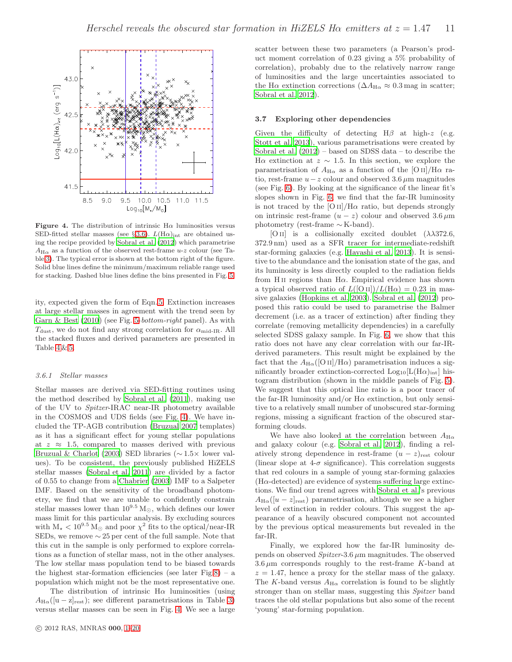

<span id="page-10-0"></span>Figure 4. The distribution of intrinsic  $H\alpha$  luminosities versus SED-fitted stellar masses (see § [3.6\)](#page-9-0).  $L(\text{H}\alpha)_{\text{int}}$  are obtained using the recipe provided by [Sobral et al. \(2012](#page-16-2)) which parametrise  $A_{\text{H}\alpha}$  as a function of the observed rest-frame u-z colour (see Table [3\)](#page-9-1). The typical error is shown at the bottom right of the figure. Solid blue lines define the minimum/maximum reliable range used for stacking. Dashed blue lines define the bins presented in Fig. [5.](#page-11-2)

ity, expected given the form of Eqn. [5.](#page-8-2) Extinction increases at large stellar masses in agreement with the trend seen by [Garn & Best \(2010](#page-16-11)) (see Fig. [5-](#page-11-2)bottom-right panel). As with  $T_{\text{dust}}$ , we do not find any strong correlation for  $\alpha_{\text{mid-IR}}$ . All the stacked fluxes and derived parameters are presented in Table  $4 \& 5$ .

#### 3.6.1 Stellar masses

Stellar masses are derived via SED-fitting routines using the method described by [Sobral et al. \(2011](#page-16-22)), making use of the UV to Spitzer-IRAC near-IR photometry available in the COSMOS and UDS fields (see Fig. [4\)](#page-10-0). We have included the TP-AGB contribution [\(Bruzual 2007](#page-16-75) templates) as it has a significant effect for young stellar populations at  $z \approx 1.5$ , compared to masses derived with previous [Bruzual & Charlot \(2003](#page-16-76)) SED libraries (∼ 1.5× lower values). To be consistent, the previously published HiZELS stellar masses [\(Sobral et al. 2011](#page-16-22)) are divided by a factor of 0.55 to change from a [Chabrier \(2003](#page-16-77)) IMF to a Salpeter IMF. Based on the sensitivity of the broadband photometry, we find that we are unable to confidently constrain stellar masses lower than  $10^{9.5} M_{\odot}$ , which defines our lower mass limit for this particular analysis. By excluding sources with  $M_{\star} < 10^{9.5}$  M<sub>o</sub> and poor  $\chi^2$  fits to the optical/near-IR SEDs, we remove  $\sim$  25 per cent of the full sample. Note that this cut in the sample is only performed to explore correlations as a function of stellar mass, not in the other analyses. The low stellar mass population tend to be biased towards the highest star-formation efficiencies (see later Fig[.8\)](#page-14-0) – a population which might not be the most representative one.

The distribution of intrinsic  $H\alpha$  luminosities (using  $A_{\text{H}\alpha}([u-z]_{\text{rest}})$ ; see different parametrisations in Table [3\)](#page-9-1) versus stellar masses can be seen in Fig. [4.](#page-10-0) We see a large

scatter between these two parameters (a Pearson's product moment correlation of 0.23 giving a 5% probability of correlation), probably due to the relatively narrow range of luminosities and the large uncertainties associated to the H $\alpha$  extinction corrections ( $\Delta A_{\text{H}\alpha} \approx 0.3$  mag in scatter; [Sobral et al. 2012\)](#page-16-2).

# 3.7 Exploring other dependencies

Given the difficulty of detecting  $H\beta$  at high-z (e.g. [Stott et al. 2013](#page-16-6)), various parametrisations were created by [Sobral et al. \(2012](#page-16-2)) – based on SDSS data – to describe the H $\alpha$  extinction at  $z \sim 1.5$ . In this section, we explore the parametrisation of  $A_{H\alpha}$  as a function of the [O ii]/H $\alpha$  ratio, rest-frame  $u-z$  colour and observed 3.6  $\mu$ m magnitudes (see Fig. [6\)](#page-12-0). By looking at the significance of the linear fit's slopes shown in Fig. [6,](#page-12-0) we find that the far-IR luminosity is not traced by the  $\frac{1}{\text{O II}}$ /H $\alpha$  ratio, but depends strongly on intrinsic rest-frame  $(u - z)$  colour and observed  $3.6 \mu m$ photometry (rest-frame ∼ K-band).

[O II] is a collisionally excited doublet  $(\lambda \lambda)372.6$ , 372.9 nm) used as a SFR tracer for intermediate-redshift star-forming galaxies (e.g. [Hayashi et al. 2013\)](#page-16-78). It is sensitive to the abundance and the ionisation state of the gas, and its luminosity is less directly coupled to the radiation fields from H<sub>II</sub> regions than H $\alpha$ . Empirical evidence has shown a typical observed ratio of  $L([O II])/L(H\alpha) = 0.23$  in massive galaxies [\(Hopkins et al. 2003](#page-16-79)). [Sobral et al. \(2012](#page-16-2)) proposed this ratio could be used to parametrise the Balmer decrement (i.e. as a tracer of extinction) after finding they correlate (removing metallicity dependencies) in a carefully selected SDSS galaxy sample. In Fig. [6,](#page-12-0) we show that this ratio does not have any clear correlation with our far-IRderived parameters. This result might be explained by the fact that the  $A_{H\alpha}$ ([O II]/H $\alpha$ ) parametrisation induces a significantly broader extinction-corrected  $Log_{10}[L(H\alpha)_{int}]$  histogram distribution (shown in the middle panels of Fig. [5\)](#page-11-2). We suggest that this optical line ratio is a poor tracer of the far-IR luminosity and/or  $H\alpha$  extinction, but only sensitive to a relatively small number of unobscured star-forming regions, missing a significant fraction of the obscured starforming clouds.

We have also looked at the correlation between  $A_{H\alpha}$ and galaxy colour (e.g. [Sobral et al. 2012\)](#page-16-2), finding a relatively strong dependence in rest-frame  $(u - z)_{\text{rest}}$  colour (linear slope at  $4-\sigma$  significance). This correlation suggests that red colours in a sample of young star-forming galaxies  $(H\alpha$ -detected) are evidence of systems suffering large extinctions. We find our trend agrees with [Sobral et al.](#page-16-2)'s previous  $A_{\text{H}\alpha}([u-z]_{\text{rest}})$  parametrisation, although we see a higher level of extinction in redder colours. This suggest the appearance of a heavily obscured component not accounted by the previous optical measurements but revealed in the far-IR.

Finally, we explored how the far-IR luminosity depends on observed  $Spitzer-3.6 \mu m$  magnitudes. The observed  $3.6 \mu m$  corresponds roughly to the rest-frame K-band at  $z = 1.47$ , hence a proxy for the stellar mass of the galaxy. The K-band versus  $A_{H\alpha}$  correlation is found to be slightly stronger than on stellar mass, suggesting this Spitzer band traces the old stellar populations but also some of the recent 'young' star-forming population.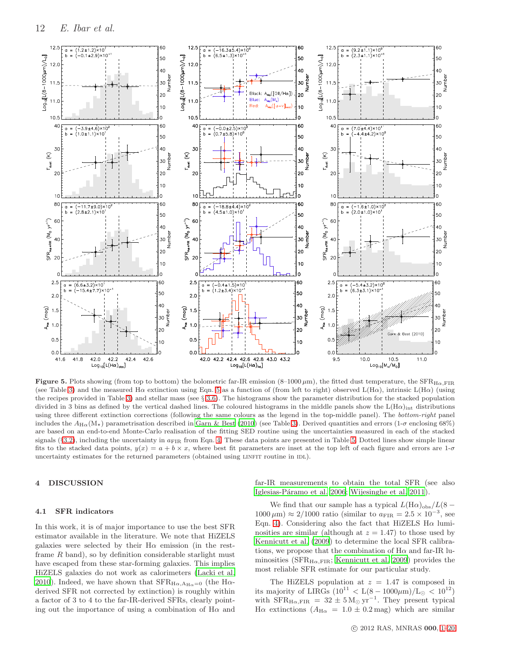

<span id="page-11-2"></span>Figure 5. Plots showing (from top to bottom) the bolometric far-IR emission (8–1000  $\mu$ m), the fitted dust temperature, the SFR $_{H\alpha, FIR}$ (see Table [3\)](#page-9-1) and the measured  $H\alpha$  extinction using Eqn. [5](#page-8-2) as a function of (from left to right) observed  $L(H\alpha)$ , intrinsic  $L(H\alpha)$  (using the recipes provided in Table [3\)](#page-9-1) and stellar mass (see § [3.6\)](#page-9-0). The histograms show the parameter distribution for the stacked population divided in 3 bins as defined by the vertical dashed lines. The coloured histograms in the middle panels show the  $L(H\alpha)_{int}$  distributions using three different extinction corrections (following the same colours as the legend in the top-middle panel). The bottom-right panel includes the  $A_{H\alpha}(M_{\star})$  parametrisation described in [Garn & Best \(2010](#page-16-11)) (see Table [3\)](#page-9-1). Derived quantities and errors (1- $\sigma$  enclosing 68%) are based on an end-to-end Monte-Carlo realisation of the fitting SED routine using the uncertainties measured in each of the stacked signals (§[3.2\)](#page-6-2), including the uncertainty in  $a_{\text{FIR}}$  from Eqn. [4.](#page-8-0) These data points are presented in Table [5.](#page-20-0) Dotted lines show simple linear fits to the stacked data points,  $y(x) = a + b \times x$ , where best fit parameters are inset at the top left of each figure and errors are 1- $\sigma$ uncertainty estimates for the returned parameters (obtained using LINFIT routine in IDL).

# <span id="page-11-0"></span>4 DISCUSSION

#### <span id="page-11-1"></span>4.1 SFR indicators

In this work, it is of major importance to use the best SFR estimator available in the literature. We note that HiZELS galaxies were selected by their  $H\alpha$  emission (in the restframe  $R$  band), so by definition considerable starlight must have escaped from these star-forming galaxies. This implies HiZELS galaxies do not work as calorimeters [\(Lacki et al.](#page-16-8) [2010](#page-16-8)). Indeed, we have shown that  $SFR_{H\alpha, A_{H\alpha}=0}$  (the H $\alpha$ derived SFR not corrected by extinction) is roughly within a factor of 3 to 4 to the far-IR-derived SFRs, clearly pointing out the importance of using a combination of  $H\alpha$  and far-IR measurements to obtain the total SFR (see also Iglesias-Páramo et al. 2006; [Wijesinghe et al. 2011](#page-17-4)).

We find that our sample has a typical  $L(\text{H}\alpha)_{\text{obs}}/L(8 1000 \,\mu\text{m}$ ) ≈ 2/1000 ratio (similar to  $a_{\text{FIR}} = 2.5 \times 10^{-3}$ , see Eqn. [4\)](#page-8-0). Considering also the fact that HiZELS  $H\alpha$  luminosities are similar (although at  $z = 1.47$ ) to those used by [Kennicutt et al. \(2009](#page-16-36)) to determine the local SFR calibrations, we propose that the combination of  $H\alpha$  and far-IR luminosities ( $SFR_{H\alpha,FIR}$ ; [Kennicutt et al. 2009](#page-16-36)) provides the most reliable SFR estimate for our particular study.

The HiZELS population at  $z = 1.47$  is composed in its majority of LIRGs  $(10^{11} < L(8 - 1000 \mu m)/L_{\odot} < 10^{12})$ with  $SFR_{H\alpha,FIR} = 32 \pm 5 \,\mathrm{M}_{\odot} \,\mathrm{yr}^{-1}$ . They present typical H $\alpha$  extinctions ( $A_{\text{H}\alpha} = 1.0 \pm 0.2 \text{ mag}$ ) which are similar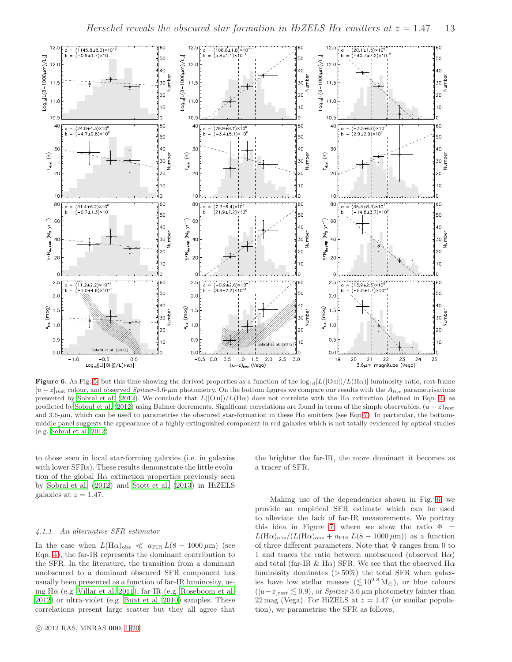

<span id="page-12-0"></span>Figure 6. As Fig. [5,](#page-11-2) but this time showing the derived properties as a function of the  $log_{10}[L([O\,\textsc{ii}]/L(\text{H}\alpha)]$  luminosity ratio, rest-frame  $[u-z]_{\text{rest}}$  colour, and observed Spitzer-3.6-µm photometry. On the bottom figures we compare our results with the  $A_{H\alpha}$  parametrisations presented by [Sobral et al. \(2012](#page-16-2)). We conclude that  $L([O\,\Pi])/L(H\alpha)$  does not correlate with the H $\alpha$  extinction (defined in Eqn. [4\)](#page-8-0) as predicted by [Sobral et al. \(2012\)](#page-16-2) using Balmer decrements. Significant correlations are found in terms of the simple observables,  $(u - z)_{\text{rest}}$ and 3.6- $\mu$ m, which can be used to parametrise the obscured star-formation in these H $\alpha$  emitters (see Eqn[.7\)](#page-13-1). In particular, the bottommiddle panel suggests the appearance of a highly extinguished component in red galaxies which is not totally evidenced by optical studies (e.g. [Sobral et al. 2012\)](#page-16-2).

to those seen in local star-forming galaxies (i.e. in galaxies with lower SFRs). These results demonstrate the little evolution of the global  $H\alpha$  extinction properties previously seen by [Sobral et al. \(2012\)](#page-16-2) and [Stott et al. \(2013](#page-16-6)) in HiZELS galaxies at  $z = 1.47$ .

#### <span id="page-12-1"></span>4.1.1 An alternative SFR estimator

In the case when  $L(\text{H}\alpha)_{\text{obs}} \ll a_{\text{FIR}} L(8 - 1000 \,\mu\text{m})$  (see Eqn. [4\)](#page-8-0), the far-IR represents the dominant contribution to the SFR. In the literature, the transition from a dominant unobscured to a dominant obscured SFR component has usually been presented as a function of far-IR luminosity, using H $\alpha$  (e.g. [Villar et al. 2011](#page-17-5)), far-IR (e.g. [Roseboom et al.](#page-16-81) [2012](#page-16-81)) or ultra-violet (e.g. [Buat et al. 2010](#page-16-82)) samples. These correlations present large scatter but they all agree that

the brighter the far-IR, the more dominant it becomes as a tracer of SFR.

Making use of the dependencies shown in Fig. [6,](#page-12-0) we provide an empirical SFR estimate which can be used to alleviate the lack of far-IR measurements. We portray this idea in Figure [7,](#page-13-2) where we show the ratio  $\Phi =$  $L(\text{H}\alpha)_{\text{obs}}/(L(\text{H}\alpha)_{\text{obs}} + a_{\text{FIR}} L(8 - 1000 \,\mu\text{m}))$  as a function of three different parameters. Note that  $\Phi$  ranges from 0 to 1 and traces the ratio between unobscured (observed  $H\alpha$ ) and total (far-IR & H $\alpha$ ) SFR. We see that the observed H $\alpha$ luminosity dominates  $(>50\%)$  the total SFR when galaxies have low stellar masses ( $\lesssim 10^{9.8}$  M<sub>☉</sub>), or blue colours  $([u-z]_{rest} \lesssim 0.9)$ , or *Spitzer*-3.6  $\mu$ m photometry fainter than 22 mag (Vega). For HiZELS at  $z = 1.47$  (or similar population), we parametrise the SFR as follows,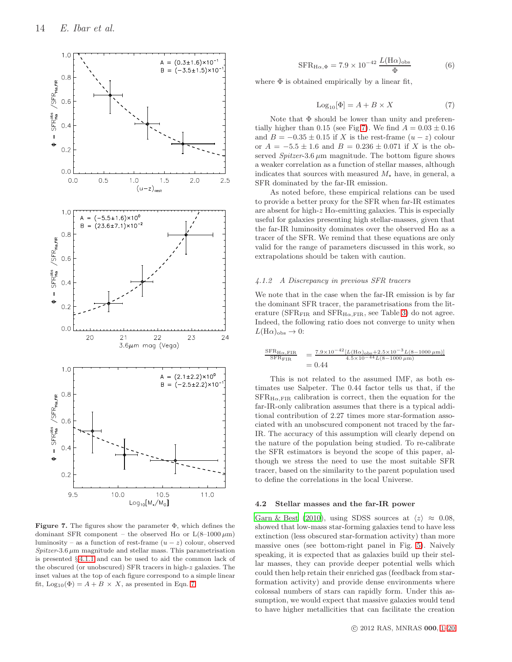

<span id="page-13-2"></span>**Figure 7.** The figures show the parameter  $\Phi$ , which defines the dominant SFR component – the observed H $\alpha$  or  $L(8-1000 \,\mu m)$ luminosity – as a function of rest-frame  $(u - z)$  colour, observed  $Spitzer-3.6 \mu m$  magnitude and stellar mass. This parametrisation is presented § [4.1.1](#page-12-1) and can be used to aid the common lack of the obscured (or unobscured) SFR tracers in high-z galaxies. The inset values at the top of each figure correspond to a simple linear fit,  $Log_{10}(\Phi) = A + B \times X$ , as presented in Eqn. [7.](#page-13-1)

<span id="page-13-3"></span>
$$
SFR_{H\alpha,\Phi} = 7.9 \times 10^{-42} \frac{L(H\alpha)_{\text{obs}}}{\Phi} \tag{6}
$$

where  $\Phi$  is obtained empirically by a linear fit,

<span id="page-13-1"></span>
$$
Log_{10}[\Phi] = A + B \times X \tag{7}
$$

Note that  $\Phi$  should be lower than unity and preferen-tially higher than 0.15 (see Fig[.7\)](#page-13-2). We find  $A = 0.03 \pm 0.16$ and  $B = -0.35 \pm 0.15$  if X is the rest-frame  $(u - z)$  colour or  $A = -5.5 \pm 1.6$  and  $B = 0.236 \pm 0.071$  if X is the observed  $Spitzer-3.6 \mu m$  magnitude. The bottom figure shows a weaker correlation as a function of stellar masses, although indicates that sources with measured  $M_{\star}$  have, in general, a SFR dominated by the far-IR emission.

As noted before, these empirical relations can be used to provide a better proxy for the SFR when far-IR estimates are absent for high-z  $H\alpha$ -emitting galaxies. This is especially useful for galaxies presenting high stellar-masses, given that the far-IR luminosity dominates over the observed  $H\alpha$  as a tracer of the SFR. We remind that these equations are only valid for the range of parameters discussed in this work, so extrapolations should be taken with caution.

# 4.1.2 A Discrepancy in previous SFR tracers

We note that in the case when the far-IR emission is by far the dominant SFR tracer, the parametrisations from the literature ( $SFR_{\text{FIR}}$  and  $SFR_{\text{H}\alpha,\text{FIR}}$ , see Table [3\)](#page-9-1) do not agree. Indeed, the following ratio does not converge to unity when  $L(\text{H}\alpha)_{\text{obs}} \to 0$ :

$$
\frac{\text{SFR}_{H\alpha,\text{FIR}}}{\text{SFR}_{\text{FIR}}} = \frac{7.9 \times 10^{-42} [L(\text{H}\alpha)_{\text{obs}} + 2.5 \times 10^{-3} L(8 - 1000 \,\mu\text{m})]}{4.5 \times 10^{-44} L(8 - 1000 \,\mu\text{m})}
$$
  
= 0.44

This is not related to the assumed IMF, as both estimates use Salpeter. The 0.44 factor tells us that, if the  $SFR_{H\alpha FIR}$  calibration is correct, then the equation for the far-IR-only calibration assumes that there is a typical additional contribution of 2.27 times more star-formation associated with an unobscured component not traced by the far-IR. The accuracy of this assumption will clearly depend on the nature of the population being studied. To re-calibrate the SFR estimators is beyond the scope of this paper, although we stress the need to use the most suitable SFR tracer, based on the similarity to the parent population used to define the correlations in the local Universe.

#### <span id="page-13-0"></span>4.2 Stellar masses and the far-IR power

[Garn & Best \(2010\)](#page-16-11), using SDSS sources at  $\langle z \rangle \approx 0.08$ , showed that low-mass star-forming galaxies tend to have less extinction (less obscured star-formation activity) than more massive ones (see bottom-right panel in Fig. [5\)](#page-11-2). Naively speaking, it is expected that as galaxies build up their stellar masses, they can provide deeper potential wells which could then help retain their enriched gas (feedback from starformation activity) and provide dense environments where colossal numbers of stars can rapidly form. Under this assumption, we would expect that massive galaxies would tend to have higher metallicities that can facilitate the creation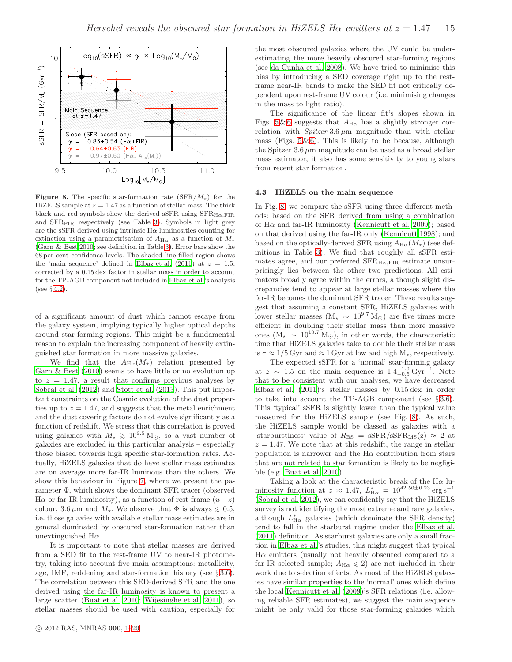

<span id="page-14-0"></span>**Figure 8.** The specific star-formation rate  $(SFR/M_{\star})$  for the HiZELS sample at  $z = 1.47$  as a function of stellar mass. The thick black and red symbols show the derived sSFR using  $SFR_{H\alpha,FIR}$ and SFR<sub>FIR</sub> respectively (see Table [3\)](#page-9-1). Symbols in light grey are the sSFR derived using intrinsic  $\mathrm{H}\alpha$  luminosities counting for extinction using a parametrisation of  $A_{H\alpha}$  as a function of  $M_{\star}$ [\(Garn & Best 2010;](#page-16-11) see definition in Table [3\)](#page-9-1). Error bars show the 68 per cent confidence levels. The shaded line-filled region shows the 'main sequence' defined in [Elbaz et al. \(2011](#page-16-20)) at  $z = 1.5$ , corrected by a 0.15 dex factor in stellar mass in order to account for the TP-AGB component not included in [Elbaz et al.'](#page-16-20)s analysis (see § [4.2\)](#page-13-0).

of a significant amount of dust which cannot escape from the galaxy system, implying typically higher optical depths around star-forming regions. This might be a fundamental reason to explain the increasing component of heavily extinguished star formation in more massive galaxies.

We find that the  $A_{H\alpha}(M_{\star})$  relation presented by [Garn & Best \(2010](#page-16-11)) seems to have little or no evolution up to  $z = 1.47$ , a result that confirms previous analyses by [Sobral et al. \(2012\)](#page-16-2) and [Stott et al. \(2013](#page-16-6)). This put important constraints on the Cosmic evolution of the dust properties up to  $z = 1.47$ , and suggests that the metal enrichment and the dust covering factors do not evolve significantly as a function of redshift. We stress that this correlation is proved using galaxies with  $M_{\star} \geq 10^{9.5}$  M<sub>☉</sub>, so a vast number of galaxies are excluded in this particular analysis – especially those biased towards high specific star-formation rates. Actually, HiZELS galaxies that do have stellar mass estimates are on average more far-IR luminous than the others. We show this behaviour in Figure [7,](#page-13-2) where we present the parameter Φ, which shows the dominant SFR tracer (observed H $\alpha$  or far-IR luminosity), as a function of rest-frame  $(u-z)$ colour, 3.6  $\mu$ m and  $M_{\star}$ . We observe that  $\Phi$  is always  $\leq 0.5$ , i.e. those galaxies with available stellar mass estimates are in general dominated by obscured star-formation rather than unextinguished  $H\alpha$ .

It is important to note that stellar masses are derived from a SED fit to the rest-frame UV to near-IR photometry, taking into account five main assumptions: metallicity, age, IMF, reddening and star-formation history (see  $\S 3.6$ ). The correlation between this SED-derived SFR and the one derived using the far-IR luminosity is known to present a large scatter [\(Buat et al. 2010](#page-16-82); [Wijesinghe et al. 2011\)](#page-17-4), so stellar masses should be used with caution, especially for the most obscured galaxies where the UV could be underestimating the more heavily obscured star-forming regions (see [da Cunha et al. 2008\)](#page-16-83). We have tried to minimise this bias by introducing a SED coverage right up to the restframe near-IR bands to make the SED fit not critically dependent upon rest-frame UV colour (i.e. minimising changes in the mass to light ratio).

The significance of the linear fit's slopes shown in Figs. [5](#page-11-2) & [6](#page-12-0) suggests that  $A_{H\alpha}$  has a slightly stronger correlation with  $Spitzer-3.6 \mu m$  magnitude than with stellar mass (Figs.  $5 \& 6$ ). This is likely to be because, although the Spitzer  $3.6 \mu m$  magnitude can be used as a broad stellar mass estimator, it also has some sensitivity to young stars from recent star formation.

#### 4.3 HiZELS on the main sequence

In Fig. [8,](#page-14-0) we compare the sSFR using three different methods: based on the SFR derived from using a combination of  $H\alpha$  and far-IR luminosity [\(Kennicutt et al. 2009](#page-16-36)); based on that derived using the far-IR only [\(Kennicutt 1998](#page-16-0)); and based on the optically-derived SFR using  $A_{H\alpha}(M_{\star})$  (see definitions in Table [3\)](#page-9-1). We find that roughly all sSFR estimates agree, and our preferred  $SFR_{H\alpha, FIR}$  estimate unsurprisingly lies between the other two predictions. All estimators broadly agree within the errors, although slight discrepancies tend to appear at large stellar masses where the far-IR becomes the dominant SFR tracer. These results suggest that assuming a constant SFR, HiZELS galaxies with lower stellar masses ( $M_{\star}$  ~ 10<sup>9.7</sup> M<sub>☉</sub>) are five times more efficient in doubling their stellar mass than more massive ones (M<sub>★</sub> ~ 10<sup>10.7</sup> M<sub>☉</sub>), in other words, the characteristic time that HiZELS galaxies take to double their stellar mass is  $\tau \approx 1/5$  Gyr and  $\approx 1$  Gyr at low and high  $M_{\star}$ , respectively.

The expected sSFR for a 'normal' star-forming galaxy at  $z \sim 1.5$  on the main sequence is  $1.4^{+1.0}_{-0.5}$  Gyr<sup>-1</sup>. Note that to be consistent with our analyses, we have decreased [Elbaz et al. \(2011\)](#page-16-20)'s stellar masses by 0.15 dex in order to take into account the TP-AGB component (see  $\S 3.6$ ). This 'typical' sSFR is slightly lower than the typical value measured for the HiZELS sample (see Fig. [8\)](#page-14-0). As such, the HiZELS sample would be classed as galaxies with a 'starburstiness' value of  $R_{\text{BS}} = \text{sSFR/sSFR}_{\text{MS}}(z) \approx 2$  at  $z = 1.47$ . We note that at this redshift, the range in stellar population is narrower and the  $H\alpha$  contribution from stars that are not related to star formation is likely to be negligible (e.g. [Buat et al. 2010](#page-16-82)).

Taking a look at the characteristic break of the  $H\alpha$  luminosity function at  $z \approx 1.47$ ,  $L_{\text{H}\alpha}^{*} = 10^{42.50 \pm 0.23} \text{ erg s}^{-1}$ [\(Sobral et al. 2012](#page-16-2)), we can confidently say that the HiZELS survey is not identifying the most extreme and rare galaxies, although  $L_{\text{H}\alpha}^{*}$  galaxies (which dominate the SFR density) tend to fall in the starburst regime under the [Elbaz et al.](#page-16-20) [\(2011](#page-16-20)) definition. As starburst galaxies are only a small fraction in [Elbaz et al.](#page-16-20)'s studies, this might suggest that typical  $H\alpha$  emitters (usually not heavily obscured compared to a far-IR selected sample;  $A_{H\alpha} \leq 2$ ) are not included in their work due to selection effects. As most of the HiZELS galaxies have similar properties to the 'normal' ones which define the local [Kennicutt et al. \(2009](#page-16-36))'s SFR relations (i.e. allowing reliable SFR estimates), we suggest the main sequence might be only valid for those star-forming galaxies which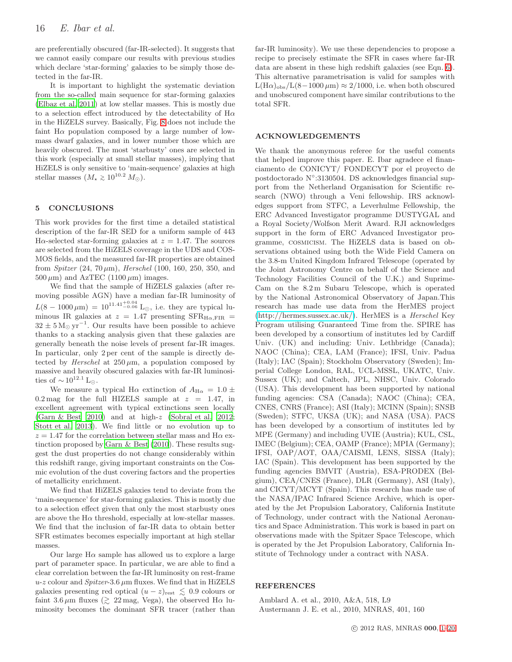are preferentially obscured (far-IR-selected). It suggests that we cannot easily compare our results with previous studies which declare 'star-forming' galaxies to be simply those detected in the far-IR.

It is important to highlight the systematic deviation from the so-called main sequence for star-forming galaxies [\(Elbaz et al. 2011](#page-16-20)) at low stellar masses. This is mostly due to a selection effect introduced by the detectability of  $H\alpha$ in the HiZELS survey. Basically, Fig. [8](#page-14-0) does not include the faint  $H\alpha$  population composed by a large number of lowmass dwarf galaxies, and in lower number those which are heavily obscured. The most 'starbusty' ones are selected in this work (especially at small stellar masses), implying that HiZELS is only sensitive to 'main-sequence' galaxies at high stellar masses  $(M_{\star} \geq 10^{10.2} M_{\odot})$ .

# <span id="page-15-0"></span>5 CONCLUSIONS

This work provides for the first time a detailed statistical description of the far-IR SED for a uniform sample of 443 H $\alpha$ -selected star-forming galaxies at  $z = 1.47$ . The sources are selected from the HiZELS coverage in the UDS and COS-MOS fields, and the measured far-IR properties are obtained from *Spitzer*  $(24, 70 \,\mu\text{m})$ , *Herschel*  $(100, 160, 250, 350, \text{ and})$  $500 \,\mu\text{m}$ ) and AzTEC (1100  $\mu\text{m}$ ) images.

We find that the sample of HiZELS galaxies (after removing possible AGN) have a median far-IR luminosity of  $L(8-1000 \,\mu\text{m}) = 10^{11.41_{-0.06}^{+0.04}}$  L<sub>☉</sub>, i.e. they are typical luminous IR galaxies at  $z = 1.47$  presenting SFR<sub>H $\alpha$ ,FIR =</sub>  $32 \pm 5 \,\mathrm{M}_{\odot} \,\mathrm{yr}^{-1}$ . Our results have been possible to achieve thanks to a stacking analysis given that these galaxies are generally beneath the noise levels of present far-IR images. In particular, only 2 per cent of the sample is directly detected by Herschel at  $250 \mu m$ , a population composed by massive and heavily obscured galaxies with far-IR luminosities of  $\sim 10^{12.1}$  L⊙.

We measure a typical H $\alpha$  extinction of  $A_{H\alpha} = 1.0 \pm$ 0.2 mag for the full HIZELS sample at  $z = 1.47$ , in excellent agreement with typical extinctions seen locally [\(Garn & Best 2010](#page-16-11)) and at high-z [\(Sobral et al. 2012;](#page-16-2) [Stott et al. 2013](#page-16-6)). We find little or no evolution up to  $z=1.47$  for the correlation between stellar mass and  $\rm H\alpha$  extinction proposed by [Garn & Best \(2010\)](#page-16-11). These results suggest the dust properties do not change considerably within this redshift range, giving important constraints on the Cosmic evolution of the dust covering factors and the properties of metallicity enrichment.

We find that HiZELS galaxies tend to deviate from the 'main-sequence' for star-forming galaxies. This is mostly due to a selection effect given that only the most starbusty ones are above the  $H\alpha$  threshold, especially at low-stellar masses. We find that the inclusion of far-IR data to obtain better SFR estimates becomes especially important at high stellar masses.

Our large  $H\alpha$  sample has allowed us to explore a large part of parameter space. In particular, we are able to find a clear correlation between the far-IR luminosity on rest-frame  $u$ -z colour and  $Spitzer$ -3.6  $\mu$ m fluxes. We find that in HiZELS galaxies presenting red optical  $(u - z)_{\text{rest}} \lesssim 0.9$  colours or faint 3.6  $\mu$ m fluxes ( $\gtrsim$  22 mag, Vega), the observed H $\alpha$  luminosity becomes the dominant SFR tracer (rather than

far-IR luminosity). We use these dependencies to propose a recipe to precisely estimate the SFR in cases where far-IR data are absent in these high redshift galaxies (see Eqn. [6\)](#page-13-3). This alternative parametrisation is valid for samples with  $L(H\alpha)_{\text{obs}}/L(8-1000 \,\mu\text{m}) \approx 2/1000$ , i.e. when both obscured and unobscured component have similar contributions to the total SFR.

# ACKNOWLEDGEMENTS

We thank the anonymous referee for the useful coments that helped improve this paper. E. Ibar agradece el financiamento de CONICYT/ FONDECYT por el proyecto de postdoctorado N°:3130504. DS acknowledges financial support from the Netherland Organisation for Scientific research (NWO) through a Veni fellowship. IRS acknowledges support from STFC, a Leverhulme Fellowship, the ERC Advanced Investigator programme DUSTYGAL and a Royal Society/Wolfson Merit Award. RJI acknowledges support in the form of ERC Advanced Investigator programme, cosmicism. The HiZELS data is based on observations obtained using both the Wide Field Camera on the 3.8-m United Kingdom Infrared Telescope (operated by the Joint Astronomy Centre on behalf of the Science and Technology Facilities Council of the U.K.) and Suprime-Cam on the 8.2 m Subaru Telescope, which is operated by the National Astronomical Observatory of Japan.This research has made use data from the HerMES project [\(http://hermes.sussex.ac.uk/\)](http://hermes.sussex.ac.uk/). HerMES is a Herschel Key Program utilising Guaranteed Time from the. SPIRE has been developed by a consortium of institutes led by Cardiff Univ. (UK) and including: Univ. Lethbridge (Canada); NAOC (China); CEA, LAM (France); IFSI, Univ. Padua (Italy); IAC (Spain); Stockholm Observatory (Sweden); Imperial College London, RAL, UCL-MSSL, UKATC, Univ. Sussex (UK); and Caltech, JPL, NHSC, Univ. Colorado (USA). This development has been supported by national funding agencies: CSA (Canada); NAOC (China); CEA, CNES, CNRS (France); ASI (Italy); MCINN (Spain); SNSB (Sweden); STFC, UKSA (UK); and NASA (USA). PACS has been developed by a consortium of institutes led by MPE (Germany) and including UVIE (Austria); KUL, CSL, IMEC (Belgium); CEA, OAMP (France); MPIA (Germany); IFSI, OAP/AOT, OAA/CAISMI, LENS, SISSA (Italy); IAC (Spain). This development has been supported by the funding agencies BMVIT (Austria), ESA-PRODEX (Belgium), CEA/CNES (France), DLR (Germany), ASI (Italy), and CICYT/MCYT (Spain). This research has made use of the NASA/IPAC Infrared Science Archive, which is operated by the Jet Propulsion Laboratory, California Institute of Technology, under contract with the National Aeronautics and Space Administration. This work is based in part on observations made with the Spitzer Space Telescope, which is operated by the Jet Propulsion Laboratory, California Institute of Technology under a contract with NASA.

#### REFERENCES

<span id="page-15-2"></span><span id="page-15-1"></span>Amblard A. et al., 2010, A&A, 518, L9 Austermann J. E. et al., 2010, MNRAS, 401, 160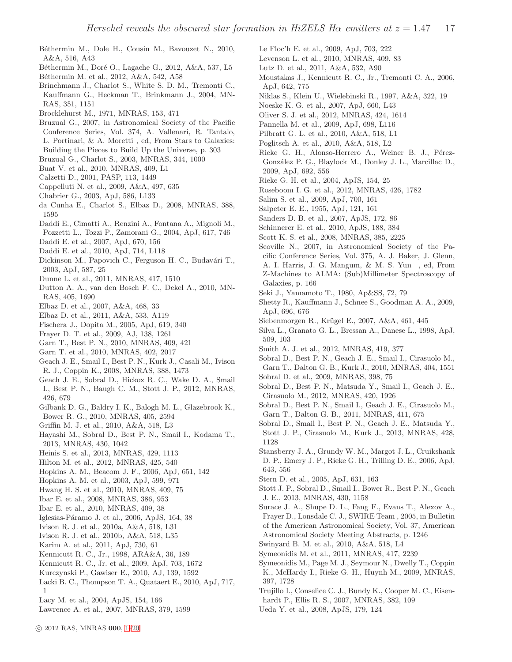- <span id="page-16-60"></span>Béthermin M., Dole H., Cousin M., Bavouzet N., 2010, A&A, 516, A43
- <span id="page-16-63"></span>Béthermin M., Doré O., Lagache G., 2012, A&A, 537, L5
- <span id="page-16-57"></span>Béthermin M. et al., 2012, A&A, 542, A58
- <span id="page-16-12"></span>Brinchmann J., Charlot S., White S. D. M., Tremonti C., Kauffmann G., Heckman T., Brinkmann J., 2004, MN-RAS, 351, 1151
- <span id="page-16-4"></span>Brocklehurst M., 1971, MNRAS, 153, 471
- <span id="page-16-75"></span>Bruzual G., 2007, in Astronomical Society of the Pacific Conference Series, Vol. 374, A. Vallenari, R. Tantalo, L. Portinari, & A. Moretti , ed, From Stars to Galaxies: Building the Pieces to Build Up the Universe, p. 303
- <span id="page-16-76"></span>Bruzual G., Charlot S., 2003, MNRAS, 344, 1000
- <span id="page-16-82"></span>Buat V. et al., 2010, MNRAS, 409, L1
- <span id="page-16-3"></span>Calzetti D., 2001, PASP, 113, 1449
- <span id="page-16-50"></span>Cappelluti N. et al., 2009, A&A, 497, 635
- <span id="page-16-77"></span>Chabrier G., 2003, ApJ, 586, L133
- <span id="page-16-83"></span>da Cunha E., Charlot S., Elbaz D., 2008, MNRAS, 388, 1595
- <span id="page-16-47"></span>Daddi E., Cimatti A., Renzini A., Fontana A., Mignoli M.,
- Pozzetti L., Tozzi P., Zamorani G., 2004, ApJ, 617, 746
- <span id="page-16-17"></span>Daddi E. et al., 2007, ApJ, 670, 156
- <span id="page-16-21"></span>Daddi E. et al., 2010, ApJ, 714, L118
- <span id="page-16-35"></span>Dickinson M., Papovich C., Ferguson H. C., Budavári T., 2003, ApJ, 587, 25
- <span id="page-16-65"></span>Dunne L. et al., 2011, MNRAS, 417, 1510
- <span id="page-16-10"></span>Dutton A. A., van den Bosch F. C., Dekel A., 2010, MN-RAS, 405, 1690
- <span id="page-16-16"></span>Elbaz D. et al., 2007, A&A, 468, 33
- <span id="page-16-20"></span>Elbaz D. et al., 2011, A&A, 533, A119
- <span id="page-16-5"></span>Fischera J., Dopita M., 2005, ApJ, 619, 340
- <span id="page-16-45"></span>Frayer D. T. et al., 2009, AJ, 138, 1261
- <span id="page-16-11"></span>Garn T., Best P. N., 2010, MNRAS, 409, 421
- <span id="page-16-34"></span>Garn T. et al., 2010, MNRAS, 402, 2017
- <span id="page-16-24"></span>Geach J. E., Smail I., Best P. N., Kurk J., Casali M., Ivison R. J., Coppin K., 2008, MNRAS, 388, 1473
- <span id="page-16-62"></span>Geach J. E., Sobral D., Hickox R. C., Wake D. A., Smail I., Best P. N., Baugh C. M., Stott J. P., 2012, MNRAS, 426, 679
- <span id="page-16-13"></span>Gilbank D. G., Baldry I. K., Balogh M. L., Glazebrook K., Bower R. G., 2010, MNRAS, 405, 2594
- <span id="page-16-32"></span>Griffin M. J. et al., 2010, A&A, 518, L3
- <span id="page-16-78"></span>Hayashi M., Sobral D., Best P. N., Smail I., Kodama T., 2013, MNRAS, 430, 1042
- <span id="page-16-7"></span>Heinis S. et al., 2013, MNRAS, 429, 1113
- <span id="page-16-14"></span>Hilton M. et al., 2012, MNRAS, 425, 540
- <span id="page-16-72"></span>Hopkins A. M., Beacom J. F., 2006, ApJ, 651, 142
- <span id="page-16-79"></span>Hopkins A. M. et al., 2003, ApJ, 599, 971
- <span id="page-16-74"></span>Hwang H. S. et al., 2010, MNRAS, 409, 75
- <span id="page-16-52"></span>Ibar E. et al., 2008, MNRAS, 386, 953
- <span id="page-16-40"></span>Ibar E. et al., 2010, MNRAS, 409, 38
- <span id="page-16-80"></span>Iglesias-Páramo J. et al., 2006, ApJS, 164, 38
- <span id="page-16-53"></span>Ivison R. J. et al., 2010a, A&A, 518, L31
- <span id="page-16-67"></span>Ivison R. J. et al., 2010b, A&A, 518, L35
- <span id="page-16-23"></span>Karim A. et al., 2011, ApJ, 730, 61
- <span id="page-16-0"></span>Kennicutt R. C., Jr., 1998, ARA&A, 36, 189
- <span id="page-16-36"></span>Kennicutt R. C., Jr. et al., 2009, ApJ, 703, 1672
- <span id="page-16-56"></span>Kurczynski P., Gawiser E., 2010, AJ, 139, 1592
- <span id="page-16-8"></span>Lacki B. C., Thompson T. A., Quataert E., 2010, ApJ, 717, 1
- <span id="page-16-54"></span>Lacy M. et al., 2004, ApJS, 154, 166
- <span id="page-16-28"></span>Lawrence A. et al., 2007, MNRAS, 379, 1599
- <span id="page-16-44"></span>Le Floc'h E. et al., 2009, ApJ, 703, 222
- <span id="page-16-41"></span>Levenson L. et al., 2010, MNRAS, 409, 83
- <span id="page-16-31"></span>Lutz D. et al., 2011, A&A, 532, A90
- <span id="page-16-48"></span>Moustakas J., Kennicutt R. C., Jr., Tremonti C. A., 2006, ApJ, 642, 775
- <span id="page-16-1"></span>Niklas S., Klein U., Wielebinski R., 1997, A&A, 322, 19
- <span id="page-16-15"></span>Noeske K. G. et al., 2007, ApJ, 660, L43
- <span id="page-16-33"></span>Oliver S. J. et al., 2012, MNRAS, 424, 1614
- <span id="page-16-18"></span>Pannella M. et al., 2009, ApJ, 698, L116
- <span id="page-16-19"></span>Pilbratt G. L. et al., 2010, A&A, 518, L1
- <span id="page-16-30"></span>Poglitsch A. et al., 2010, A&A, 518, L2
- <span id="page-16-73"></span>Rieke G. H., Alonso-Herrero A., Weiner B. J., Pérez-Gonz´alez P. G., Blaylock M., Donley J. L., Marcillac D., 2009, ApJ, 692, 556
- <span id="page-16-29"></span>Rieke G. H. et al., 2004, ApJS, 154, 25
- <span id="page-16-81"></span>Roseboom I. G. et al., 2012, MNRAS, 426, 1782
- <span id="page-16-9"></span>Salim S. et al., 2009, ApJ, 700, 161
- <span id="page-16-37"></span>Salpeter E. E., 1955, ApJ, 121, 161
- <span id="page-16-43"></span>Sanders D. B. et al., 2007, ApJS, 172, 86
- <span id="page-16-51"></span>Schinnerer E. et al., 2010, ApJS, 188, 384
- <span id="page-16-46"></span>Scott K. S. et al., 2008, MNRAS, 385, 2225
- <span id="page-16-27"></span>Scoville N., 2007, in Astronomical Society of the Pacific Conference Series, Vol. 375, A. J. Baker, J. Glenn, A. I. Harris, J. G. Mangum, & M. S. Yun , ed, From Z-Machines to ALMA: (Sub)Millimeter Spectroscopy of Galaxies, p. 166
- <span id="page-16-64"></span>Seki J., Yamamoto T., 1980, Ap&SS, 72, 79
- <span id="page-16-68"></span>Shetty R., Kauffmann J., Schnee S., Goodman A. A., 2009, ApJ, 696, 676
- <span id="page-16-69"></span>Siebenmorgen R., Krügel E., 2007, A&A, 461, 445
- <span id="page-16-66"></span>Silva L., Granato G. L., Bressan A., Danese L., 1998, ApJ, 509, 103
- <span id="page-16-42"></span>Smith A. J. et al., 2012, MNRAS, 419, 377
- <span id="page-16-61"></span>Sobral D., Best P. N., Geach J. E., Smail I., Cirasuolo M., Garn T., Dalton G. B., Kurk J., 2010, MNRAS, 404, 1551
- <span id="page-16-25"></span>Sobral D. et al., 2009, MNRAS, 398, 75
- <span id="page-16-2"></span>Sobral D., Best P. N., Matsuda Y., Smail I., Geach J. E., Cirasuolo M., 2012, MNRAS, 420, 1926
- <span id="page-16-22"></span>Sobral D., Best P. N., Smail I., Geach J. E., Cirasuolo M., Garn T., Dalton G. B., 2011, MNRAS, 411, 675
- <span id="page-16-26"></span>Sobral D., Smail I., Best P. N., Geach J. E., Matsuda Y., Stott J. P., Cirasuolo M., Kurk J., 2013, MNRAS, 428, 1128
- <span id="page-16-58"></span>Stansberry J. A., Grundy W. M., Margot J. L., Cruikshank D. P., Emery J. P., Rieke G. H., Trilling D. E., 2006, ApJ, 643, 556
- <span id="page-16-55"></span>Stern D. et al., 2005, ApJ, 631, 163
- <span id="page-16-6"></span>Stott J. P., Sobral D., Smail I., Bower R., Best P. N., Geach J. E., 2013, MNRAS, 430, 1158
- <span id="page-16-39"></span>Surace J. A., Shupe D. L., Fang F., Evans T., Alexov A., Frayer D., Lonsdale C. J., SWIRE Team , 2005, in Bulletin of the American Astronomical Society, Vol. 37, American Astronomical Society Meeting Abstracts, p. 1246
- <span id="page-16-59"></span>Swinyard B. M. et al., 2010, A&A, 518, L4
- <span id="page-16-71"></span>Symeonidis M. et al., 2011, MNRAS, 417, 2239
- <span id="page-16-70"></span>Symeonidis M., Page M. J., Seymour N., Dwelly T., Coppin K., McHardy I., Rieke G. H., Huynh M., 2009, MNRAS, 397, 1728
- <span id="page-16-38"></span>Trujillo I., Conselice C. J., Bundy K., Cooper M. C., Eisen-
- hardt P., Ellis R. S., 2007, MNRAS, 382, 109
- <span id="page-16-49"></span>Ueda Y. et al., 2008, ApJS, 179, 124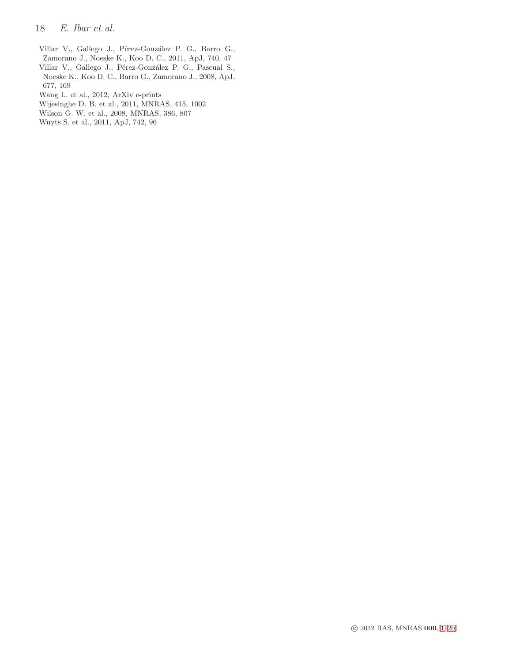- 18 E. Ibar et al.
- <span id="page-17-5"></span>Villar V., Gallego J., Pérez-González P. G., Barro G., Zamorano J., Noeske K., Koo D. C., 2011, ApJ, 740, 47
- <span id="page-17-2"></span>Villar V., Gallego J., Pérez-González P. G., Pascual S., Noeske K., Koo D. C., Barro G., Zamorano J., 2008, ApJ, 677, 169
- <span id="page-17-3"></span>Wang L. et al., 2012, ArXiv e-prints
- <span id="page-17-4"></span>Wijesinghe D. B. et al., 2011, MNRAS, 415, 1002
- <span id="page-17-1"></span>Wilson G. W. et al., 2008, MNRAS, 386, 807
- <span id="page-17-0"></span>Wuyts S. et al., 2011, ApJ, 742, 96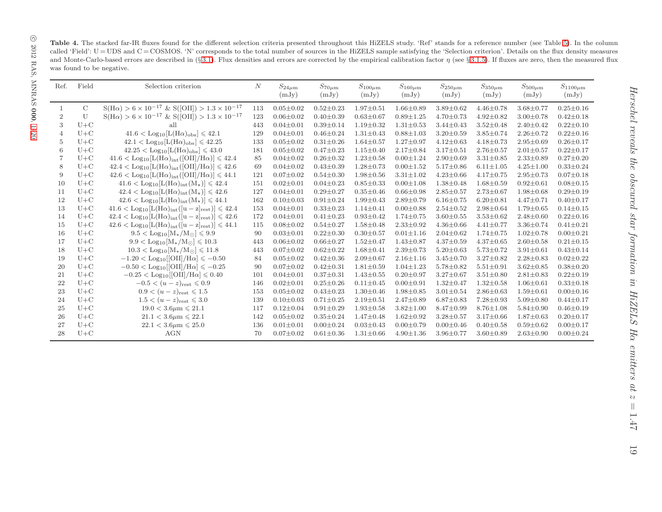Table 4. The stacked far-IR fluxes found for the different selection criteria presented throughout this HiZELS study. 'Ref' stands for a reference number (see Table [5\)](#page-20-1). In the column called 'Field':  $U = UDS$  and  $C = COSMOS$ . 'N' corresponds to the total number of sources in the HiZELS sample satisfying the 'Selection criterion'. Details on the flux density measures and Monte-Carlo-based errors are described in (§ [3.1\)](#page-4-3). Flux densities and errors are corrected by the empirical calibration factor  $\eta$  (see § [3.1.5\)](#page-5-2). If fluxes are zero, then the measured flux was found to be negative.

| Ref.           | Field         | Selection criterion                                                                                    | N   | $S_{24\mu m}$<br>(mJy) | $S_{70\mu{\rm m}}$<br>(mJy) | $S_{100\mu m}$<br>(mJy) | $S_{160\mu m}$<br>(mJy) | $S_{250\mu m}$<br>(mJy) | $S_{350\mu m}$<br>(mJy) | $S_{500\mu m}$<br>(mJy) | $S_{1100\mu m}$<br>(mJy) |
|----------------|---------------|--------------------------------------------------------------------------------------------------------|-----|------------------------|-----------------------------|-------------------------|-------------------------|-------------------------|-------------------------|-------------------------|--------------------------|
|                |               |                                                                                                        |     |                        |                             |                         |                         |                         |                         |                         |                          |
| -1             | $\mathcal{C}$ | $S(H\alpha) > 6 \times 10^{-17}$ & $S([OII]) > 1.3 \times 10^{-17}$                                    | 113 | $0.05 \pm 0.02$        | $0.52 \pm 0.23$             | $1.97 \pm 0.51$         | $1.66 \pm 0.89$         | $3.89 \pm 0.62$         | $4.46 \pm 0.78$         | $3.68 \pm 0.77$         | $0.25 \pm 0.16$          |
| $\overline{2}$ | U             | $S(H\alpha) > 6 \times 10^{-17}$ & $S([OII]) > 1.3 \times 10^{-17}$                                    | 123 | $0.06 \pm 0.02$        | $0.40 \pm 0.39$             | $0.63 \pm 0.67$         | $0.89 \pm 1.25$         | $4.70 \pm 0.73$         | $4.92 \pm 0.82$         | $3.00 \pm 0.78$         | $0.42 \pm 0.18$          |
| 3              | $U+C$         | all                                                                                                    | 443 | $0.04 \pm 0.01$        | $0.39 \pm 0.14$             | $1.19 \pm 0.32$         | $1.31 \pm 0.53$         | $3.44 \pm 0.43$         | $3.52 \pm 0.48$         | $2.40 \pm 0.42$         | $0.22 \pm 0.10$          |
| 4              | $U+C$         | $41.6 <$ Log <sub>10</sub> [L(H $\alpha$ ) <sub>obs</sub> ] $\leqslant 42.1$                           | 129 | $0.04 \pm 0.01$        | $0.46 \pm 0.24$             | $1.31 \pm 0.43$         | $0.88 \pm 1.03$         | $3.20 \pm 0.59$         | $3.85 \pm 0.74$         | $2.26 \pm 0.72$         | $0.22 \pm 0.16$          |
| 5              | $U+C$         | $42.1 <$ Log <sub>10</sub> [L(H $\alpha$ ) <sub>obs</sub> ] $\leq 42.25$                               | 133 | $0.05 \pm 0.02$        | $0.31 \pm 0.26$             | $1.64 \pm 0.57$         | $1.27 \pm 0.97$         | $4.12 \pm 0.63$         | $4.18 \pm 0.73$         | $2.95 \pm 0.69$         | $0.26 \pm 0.17$          |
| 6              | $U+C$         | $42.25 <$ Log <sub>10</sub> [L(H $\alpha$ ) <sub>obs</sub> ] $\leq 43.0$                               | 181 | $0.05 \pm 0.02$        | $0.47 \pm 0.23$             | $1.15 \pm 0.40$         | $2.17 \pm 0.84$         | $3.17 \pm 0.51$         | $2.76 \pm 0.57$         | $2.01 \pm 0.57$         | $0.22 \pm 0.17$          |
|                | $U+C$         | $41.6 <$ Log <sub>10</sub> [L(H $\alpha$ ) <sub>int</sub> ([OII]/H $\alpha$ )] $\leqslant 42.4$        | 85  | $0.04 \pm 0.02$        | $0.26 \pm 0.32$             | $1.23 \pm 0.58$         | $0.00 \pm 1.24$         | $2.90 \pm 0.69$         | $3.31 \pm 0.85$         | $2.33 \pm 0.89$         | $0.27 \pm 0.20$          |
| 8              | $U+C$         | $42.4 <$ Log <sub>10</sub> [L(H $\alpha$ ) <sub>int</sub> ([OII]/H $\alpha$ )] $\leqslant 42.6$        | 69  | $0.04 \pm 0.02$        | $0.43 \pm 0.39$             | $1.28 \pm 0.73$         | $0.00 \pm 1.52$         | $5.17 \pm 0.86$         | $6.11 \pm 1.05$         | $4.25 \pm 1.00$         | $0.33 \pm 0.24$          |
| 9              | $U+C$         | $42.6 <$ Log <sub>10</sub> [L(H $\alpha$ ) <sub>int</sub> ([OII]/H $\alpha$ )] $\leqslant 44.1$        | 121 | $0.07 \pm 0.02$        | $0.54 \pm 0.30$             | $1.98 \pm 0.56$         | $3.31 \pm 1.02$         | $4.23 \pm 0.66$         | $4.17 \pm 0.75$         | $2.95 \pm 0.73$         | $0.07 \pm 0.18$          |
| 10             | $U+C$         | $41.6 <$ Log <sub>10</sub> [L(H $\alpha$ ) <sub>int</sub> (M <sub>*</sub> )] $\leqslant 42.4$          | 151 | $0.02 \pm 0.01$        | $0.04 \pm 0.23$             | $0.85 \pm 0.33$         | $0.00 \pm 1.08$         | $1.38 \pm 0.48$         | $1.68 \pm 0.59$         | $0.92 \pm 0.61$         | $0.08 \pm 0.15$          |
| 11             | $U+C$         | $42.4 <$ Log <sub>10</sub> [L(H $\alpha$ ) <sub>int</sub> (M <sub>*</sub> )] $\leqslant 42.6$          | 127 | $0.04 \pm 0.01$        | $0.29 \pm 0.27$             | $0.35 \pm 0.46$         | $0.66 \pm 0.98$         | $2.85 \pm 0.57$         | $2.73 \pm 0.67$         | $1.98 \pm 0.68$         | $0.29 \pm 0.19$          |
| 12             | $U+C$         | $42.6 <$ Log <sub>10</sub> [L(H $\alpha$ ) <sub>int</sub> (M <sub>*</sub> )] $\leqslant 44.1$          | 162 | $0.10 \pm 0.03$        | $0.91 \pm 0.24$             | $1.99 \pm 0.43$         | $2.89 + 0.79$           | $6.16 \pm 0.75$         | $6.20 \pm 0.81$         | $4.47 \pm 0.71$         | $0.40 \pm 0.17$          |
| 13             | $U+C$         | $41.6 <$ Log <sub>10</sub> [L(H $\alpha$ ) <sub>int</sub> ([u - z] <sub>rest</sub> )] $\leq 42.4$      | 153 | $0.04 \pm 0.01$        | $0.33 \pm 0.23$             | $1.14 \pm 0.41$         | $0.00 \pm 0.88$         | $2.54 \pm 0.52$         | $2.98 \pm 0.64$         | $1.79 \pm 0.65$         | $0.14 \pm 0.15$          |
| 14             | $U+C$         | $42.4 <$ Log <sub>10</sub> [L(H $\alpha$ ) <sub>int</sub> ([u - z] <sub>rest</sub> )] $\leqslant 42.6$ | 172 | $0.04 \pm 0.01$        | $0.41 \pm 0.23$             | $0.93 \pm 0.42$         | $1.74 \pm 0.75$         | $3.60 \pm 0.55$         | $3.53 \pm 0.62$         | $2.48 \pm 0.60$         | $0.22 \pm 0.16$          |
| 15             | $U+C$         | $42.6 <$ Log <sub>10</sub> [L(H $\alpha$ ) <sub>int</sub> ([u - z] <sub>rest</sub> )] $\leq 44.1$      | 115 | $0.08 \pm 0.02$        | $0.54 \pm 0.27$             | $1.58 \pm 0.48$         | $2.33 \pm 0.92$         | $4.36 \pm 0.66$         | $4.41 \pm 0.77$         | $3.36 \pm 0.74$         | $0.41 \pm 0.21$          |
| 16             | $U+C$         | $9.5 <$ Log <sub>10</sub> [M <sub>*</sub> /M <sub>o</sub> ] $\le 9.9$                                  | 90  | $0.03 \pm 0.01$        | $0.22 \pm 0.30$             | $0.30 \pm 0.57$         | $0.01 \pm 1.16$         | $2.04 \pm 0.62$         | $1.74 \pm 0.75$         | $1.02 \pm 0.78$         | $0.00 \pm 0.21$          |
| 17             | $U+C$         | $9.9 <$ Log <sub>10</sub> [M <sub>*</sub> /M <sub>o</sub> ] $\leqslant$ 10.3                           | 443 | $0.06 \pm 0.02$        | $0.66 \pm 0.27$             | $1.52 \pm 0.47$         | $1.43 \pm 0.87$         | $4.37 \pm 0.59$         | $4.37 \pm 0.65$         | $2.60 \pm 0.58$         | $0.21 \pm 0.15$          |
| 18             | $U+C$         | $10.3 <$ Log <sub>10</sub> [M <sub>*</sub> /M <sub>o</sub> ] $\leqslant$ 11.8                          | 443 | $0.07 \pm 0.02$        | $0.62 \pm 0.22$             | $1.68 \pm 0.41$         | $2.39 + 0.73$           | $5.20 \pm 0.63$         | $5.73 \pm 0.72$         | $3.91 \pm 0.61$         | $0.43 \pm 0.14$          |
| 19             | $U+C$         | $-1.20 <$ Log <sub>10</sub> [[OII]/H $\alpha$ ] $\leqslant -0.50$                                      | 84  | $0.05 \pm 0.02$        | $0.42 \pm 0.36$             | $2.09 \pm 0.67$         | $2.16 \pm 1.16$         | $3.45 \pm 0.70$         | $3.27 \pm 0.82$         | $2.28 \pm 0.83$         | $0.02 \pm 0.22$          |
| 20             | $U+C$         | $-0.50 <$ Log <sub>10</sub> [OII]/H $\alpha$ ] $\leqslant -0.25$                                       | 90  | $0.07 \pm 0.02$        | $0.42 \pm 0.31$             | $1.81 \pm 0.59$         | $1.04 \pm 1.23$         | $5.78 \pm 0.82$         | $5.51 \pm 0.91$         | $3.62 \pm 0.85$         | $0.38 + 0.20$            |
| 21             | $U+C$         | $-0.25 <$ Log <sub>10</sub> [[OII]/H $\alpha$ ] $\leqslant 0.40$                                       | 101 | $0.04 \pm 0.01$        | $0.37 \pm 0.31$             | $1.43 \pm 0.55$         | $0.20 \pm 0.97$         | $3.27 \pm 0.67$         | $3.51 \pm 0.80$         | $2.81 \pm 0.83$         | $0.22 \pm 0.19$          |
| 22             | $U+C$         | $-0.5 < (u - z)_{\text{rest}} \leq 0.9$                                                                | 146 | $0.02 \pm 0.01$        | $0.25 \pm 0.26$             | $0.11 \pm 0.45$         | $0.00 \pm 0.91$         | $1.32 \pm 0.47$         | $1.32 \pm 0.58$         | $1.06 \pm 0.61$         | $0.33 \pm 0.18$          |
| 23             | $U+C$         | $0.9 < (u - z)_{\text{rest}} \leq 1.5$                                                                 | 153 | $0.05 \pm 0.02$        | $0.43 \pm 0.23$             | $1.30 \pm 0.46$         | $1.98 \pm 0.85$         | $3.01 \pm 0.54$         | $2.86 \pm 0.63$         | $1.59 \pm 0.61$         | $0.00 \pm 0.16$          |
| 24             | $U+C$         | $1.5 < (u - z)_{\text{rest}} \leq 3.0$                                                                 | 139 | $0.10 \pm 0.03$        | $0.71 \pm 0.25$             | $2.19 \pm 0.51$         | $2.47 \pm 0.89$         | $6.87 \pm 0.83$         | $7.28 \pm 0.93$         | $5.09 \pm 0.80$         | $0.44 \pm 0.17$          |
| 25             | $U+C$         | $19.0 < 3.6 \mu m \leq 21.1$                                                                           | 117 | $0.12 \pm 0.04$        | $0.91 \pm 0.29$             | $1.93 \pm 0.58$         | $3.82 \pm 1.00$         | $8.47 \pm 0.99$         | $8.76 \pm 1.08$         | $5.84 \pm 0.90$         | $0.46 \pm 0.19$          |
| 26             | $U+C$         | $21.1 < 3.6 \mu m \leq 22.1$                                                                           | 142 | $0.05 \pm 0.02$        | $0.35 \pm 0.24$             | $1.47 \pm 0.48$         | $1.62 \pm 0.92$         | $3.28 \pm 0.57$         | $3.17 \pm 0.66$         | $1.87 \pm 0.63$         | $0.20 \pm 0.17$          |
| 27             | $U+C$         | $22.1 < 3.6 \mu m \leq 25.0$                                                                           | 136 | $0.01 \pm 0.01$        | $0.00 \pm 0.24$             | $0.03 \pm 0.43$         | $0.00 \pm 0.79$         | $0.00 \pm 0.46$         | $0.40 \pm 0.58$         | $0.59 \pm 0.62$         | $0.00 \pm 0.17$          |
| 28             | $U+C$         | <b>AGN</b>                                                                                             | 70  | $0.07 \pm 0.02$        | $0.61 \pm 0.36$             | $1.31 \pm 0.66$         | $4.90 \pm 1.36$         | $3.96 \pm 0.77$         | $3.60 \pm 0.89$         | $2.63 \pm 0.90$         | $0.00 \pm 0.24$          |

<span id="page-18-0"></span>j.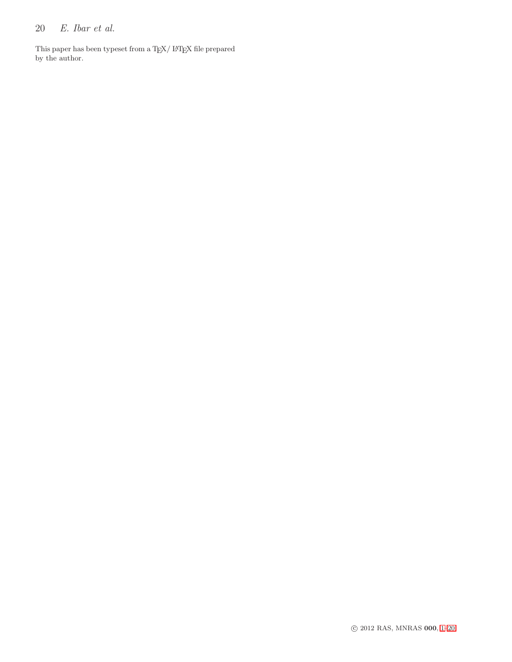# 20 E. Ibar et al.

This paper has been typeset from a T<sub>E</sub>X/  $\rm \mathit{LFT}_E X$  file prepared by the author.